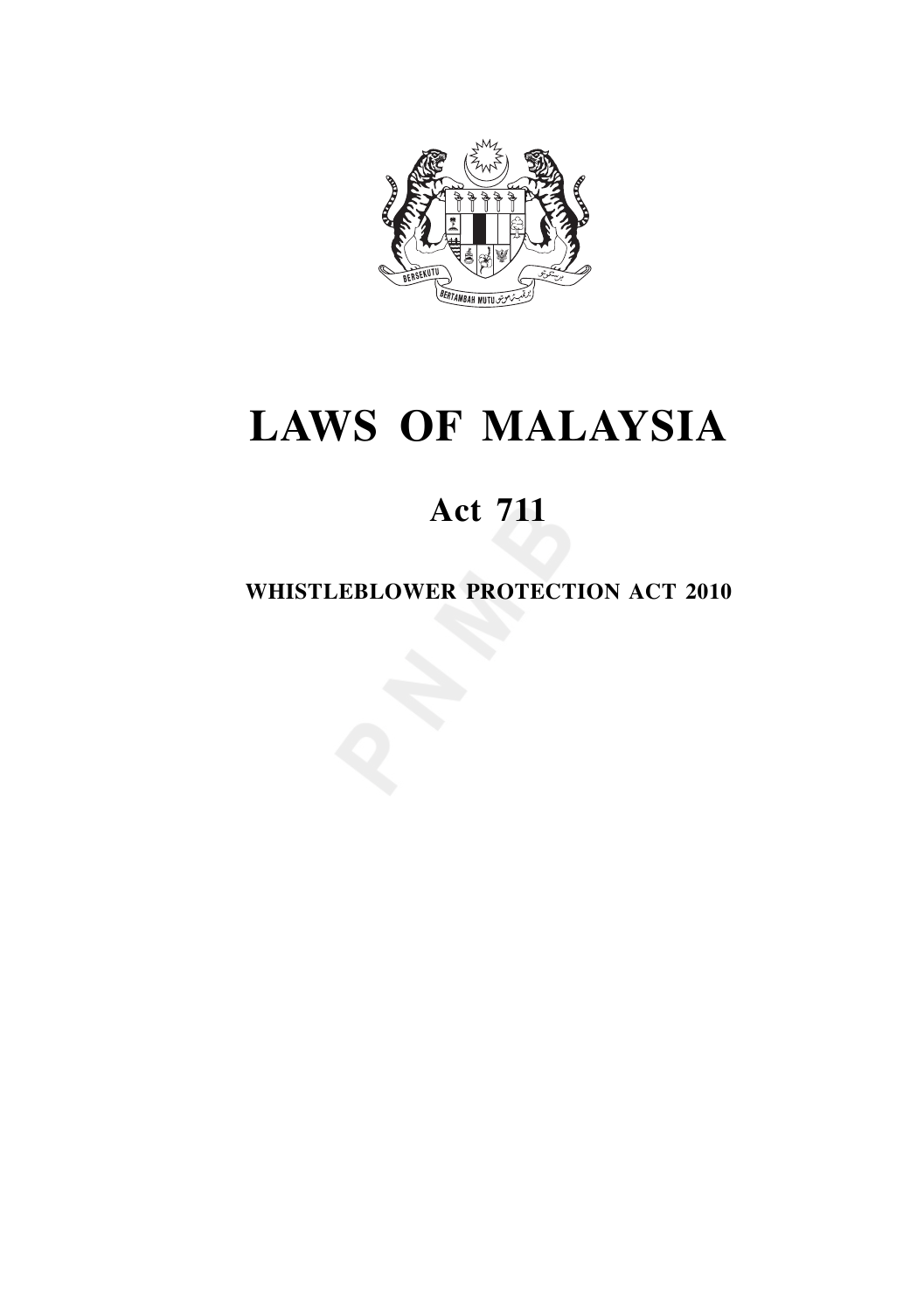

# **LAWS OF MALAYSIA**

# **Act 711**

# **WHISTLEBLOWER PROTECTION ACT 2010**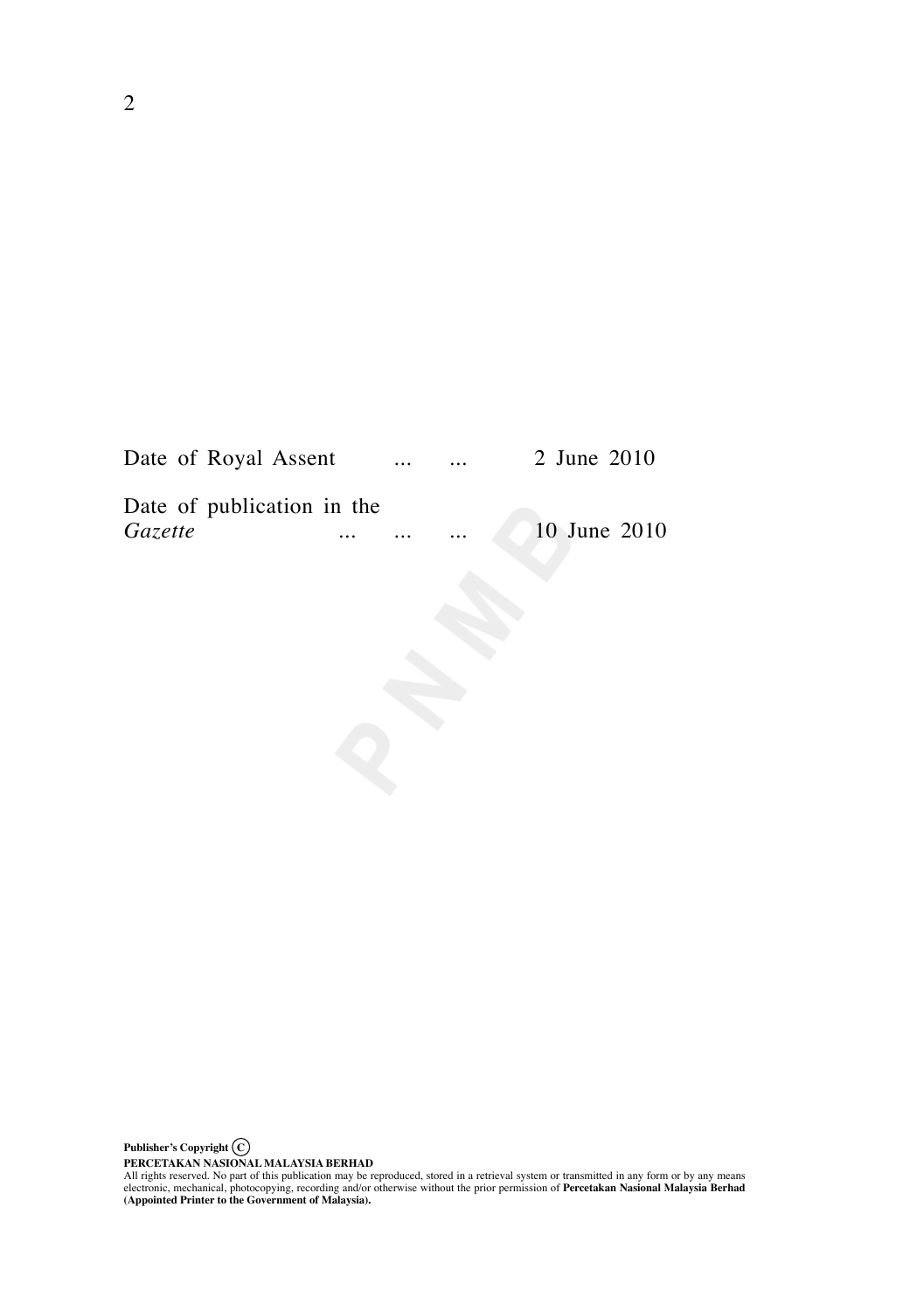| Date of Royal Assent       |          | $\cdots$ | $\cdots$ | 2 June 2010  |
|----------------------------|----------|----------|----------|--------------|
| Date of publication in the |          |          |          |              |
| <i>Gazette</i>             | $\cdots$ | $\cdots$ | $\cdots$ | 10 June 2010 |

PERCETAKAN NASIONAL MALAYSIA BERHAD<br>All rights reserved. No part of this publication may be reproduced, stored in a retrieval system or transmitted in any form or by any means<br>electronic, mechanical, photocopying, recordin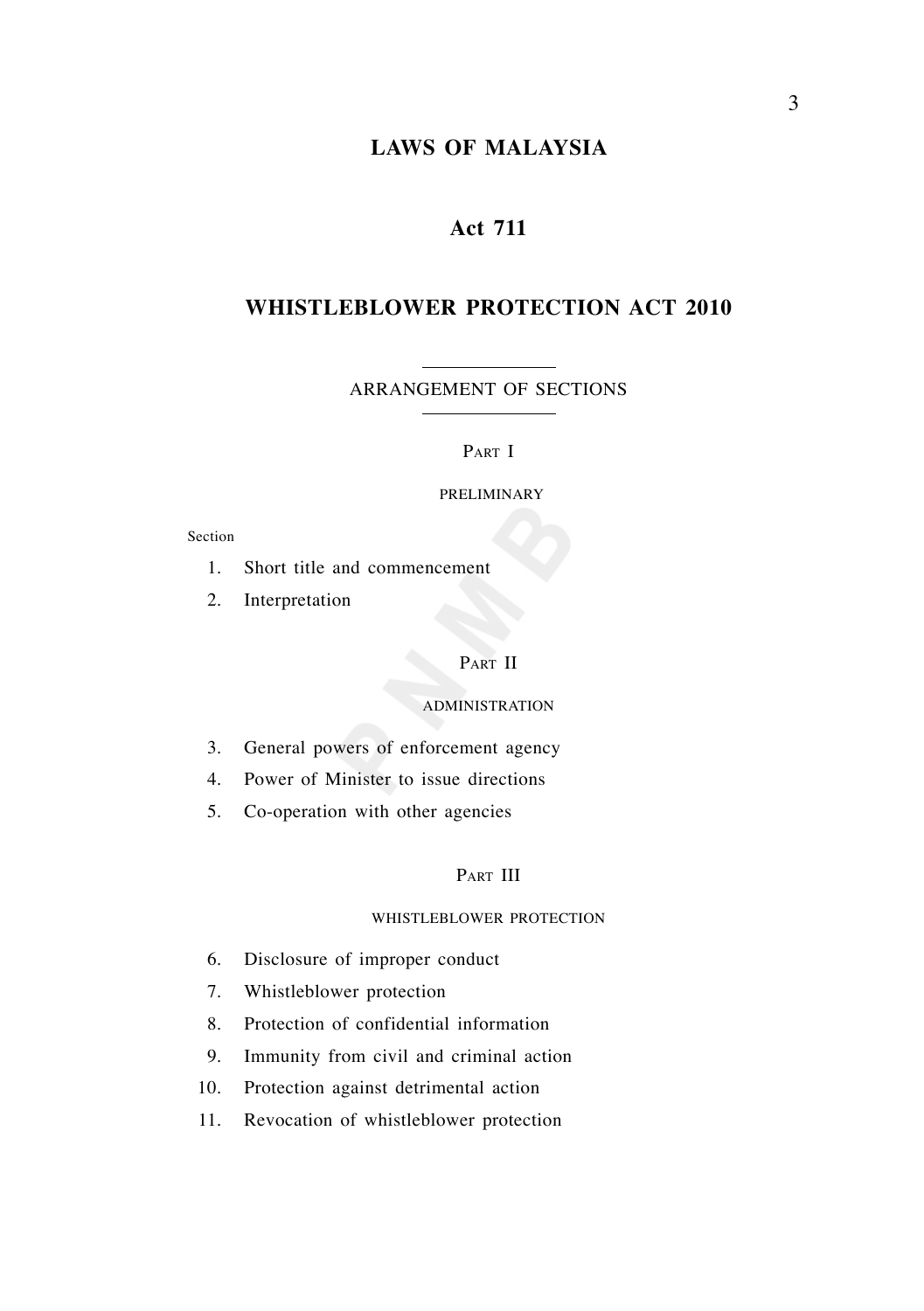# **LAWS OF MALAYSIA**

# **Act 711**

# **WHISTLEBLOWER PROTECTION ACT 2010**

ARRANGEMENT OF SECTIONS

#### PART I

#### PRELIMINARY

#### Section

- 1. Short title and commencement
- 2. Interpretation

# PART II

#### ADMINISTRATION

- 3. General powers of enforcement agency
- 4. Power of Minister to issue directions
- 5. Co-operation with other agencies

# PART III

#### WHISTLEBLOWER PROTECTION

- 6. Disclosure of improper conduct
- 7. Whistleblower protection
- 8. Protection of confidential information
- 9. Immunity from civil and criminal action
- 10. Protection against detrimental action
- 11. Revocation of whistleblower protection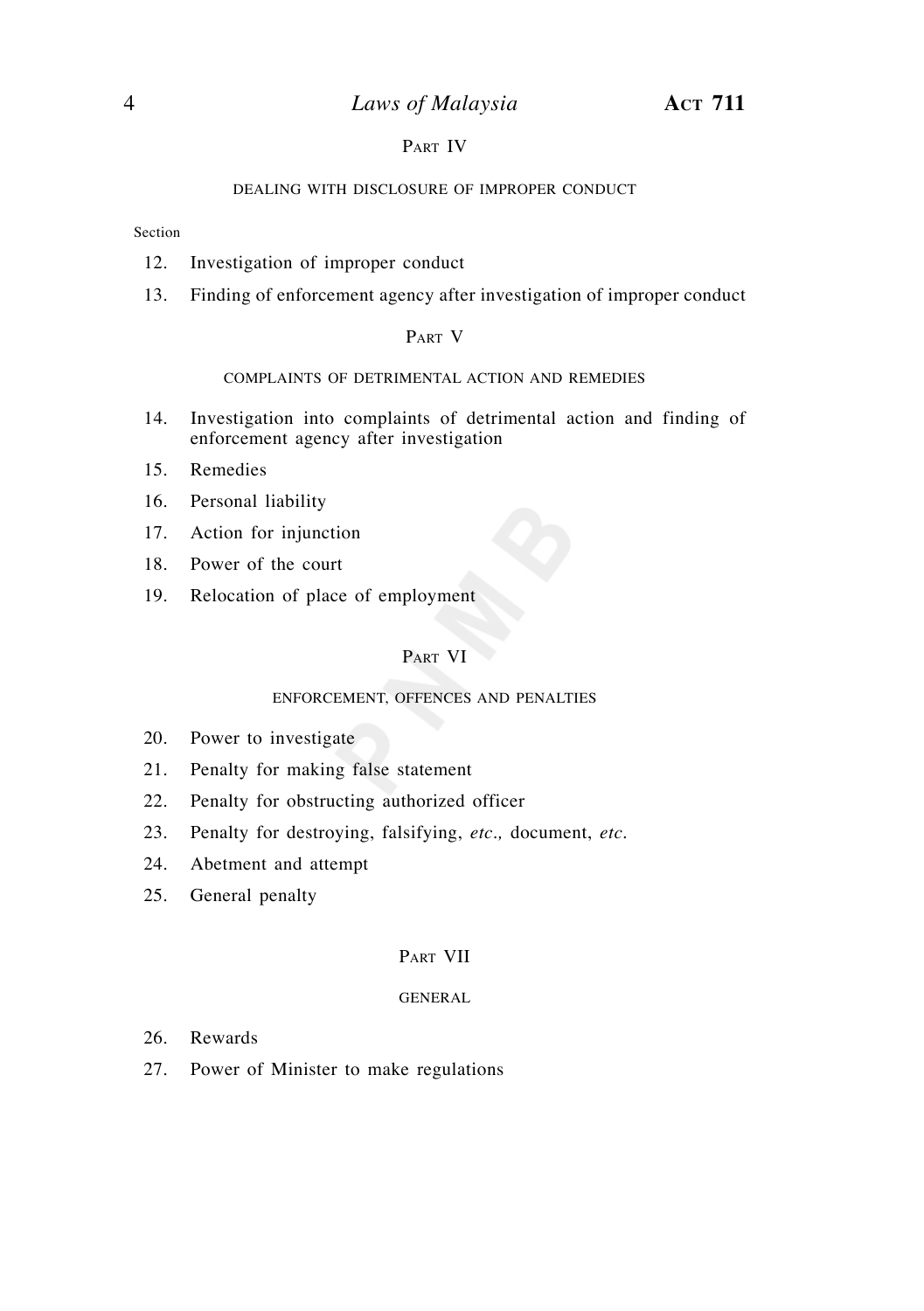#### PART IV

#### DEALING WITH DISCLOSURE OF IMPROPER CONDUCT

#### Section

- 12. Investigation of improper conduct
- 13. Finding of enforcement agency after investigation of improper conduct

#### PART V

#### COMPLAINTS OF DETRIMENTAL ACTION AND REMEDIES

- 14. Investigation into complaints of detrimental action and finding of enforcement agency after investigation
- 15. Remedies
- 16. Personal liability
- 17. Action for injunction
- 18. Power of the court
- 19. Relocation of place of employment

#### PART VI

#### ENFORCEMENT, OFFENCES AND PENALTIES

- 20. Power to investigate
- 21. Penalty for making false statement
- 22. Penalty for obstructing authorized officer
- 23. Penalty for destroying, falsifying, *etc*.*,* document, *etc*.
- 24. Abetment and attempt
- 25. General penalty

#### PART VII

#### GENERAL

- 26. Rewards
- 27. Power of Minister to make regulations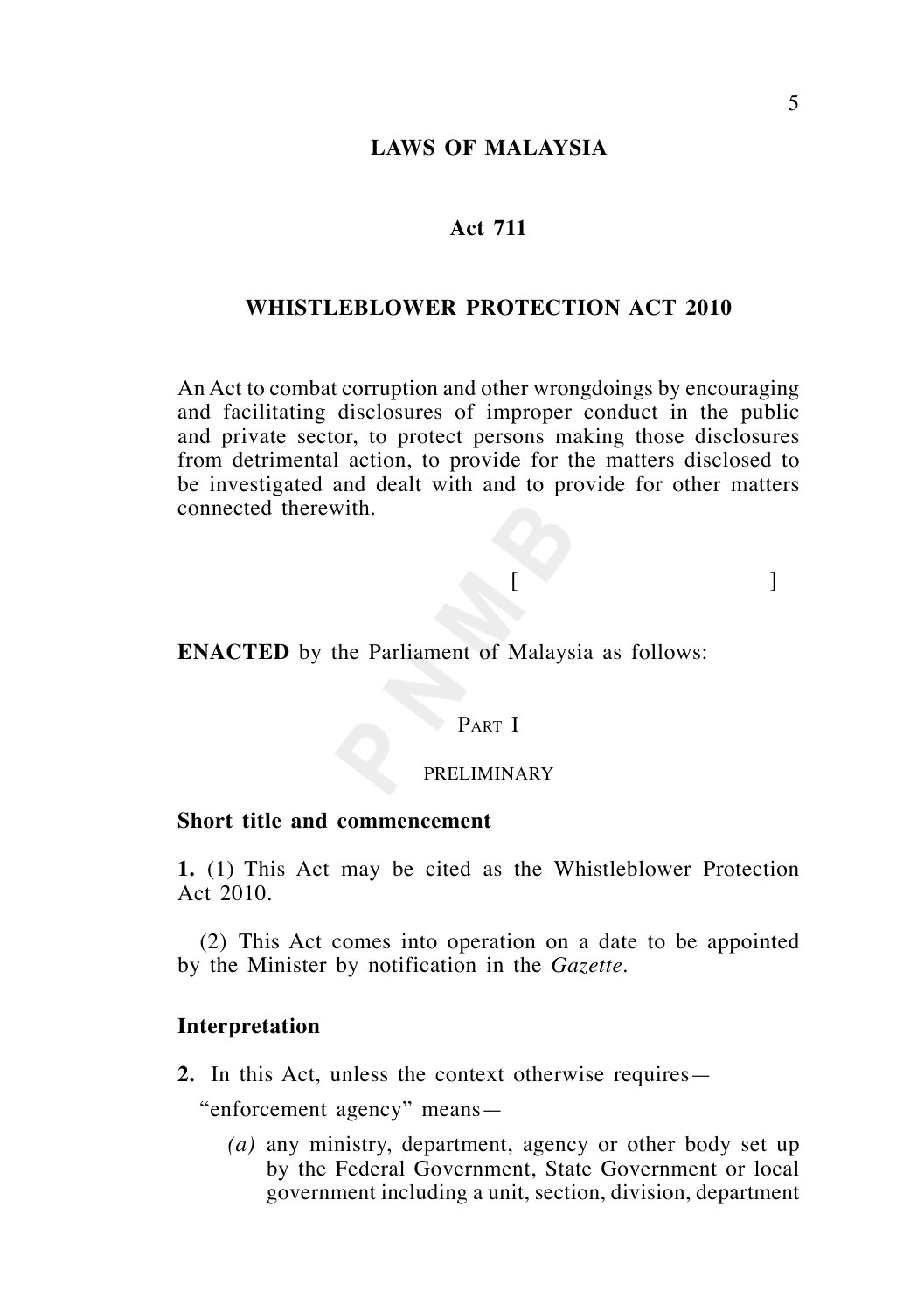# **LAWS OF MALAYSIA**

#### **Act 711**

# **WHISTLEBLOWER PROTECTION ACT 2010**

An Act to combat corruption and other wrongdoings by encouraging and facilitating disclosures of improper conduct in the public and private sector, to protect persons making those disclosures from detrimental action, to provide for the matters disclosed to be investigated and dealt with and to provide for other matters connected therewith.

 $[$ 

**ENACTED** by the Parliament of Malaysia as follows:

# PART I

#### PRELIMINARY

## **Short title and commencement**

**1.** (1) This Act may be cited as the Whistleblower Protection Act 2010.

 (2) This Act comes into operation on a date to be appointed by the Minister by notification in the *Gazette*.

#### **Interpretation**

**2.** In this Act, unless the context otherwise requires—

"enforcement agency" means—

 *(a)* any ministry, department, agency or other body set up by the Federal Government, State Government or local government including a unit, section, division, department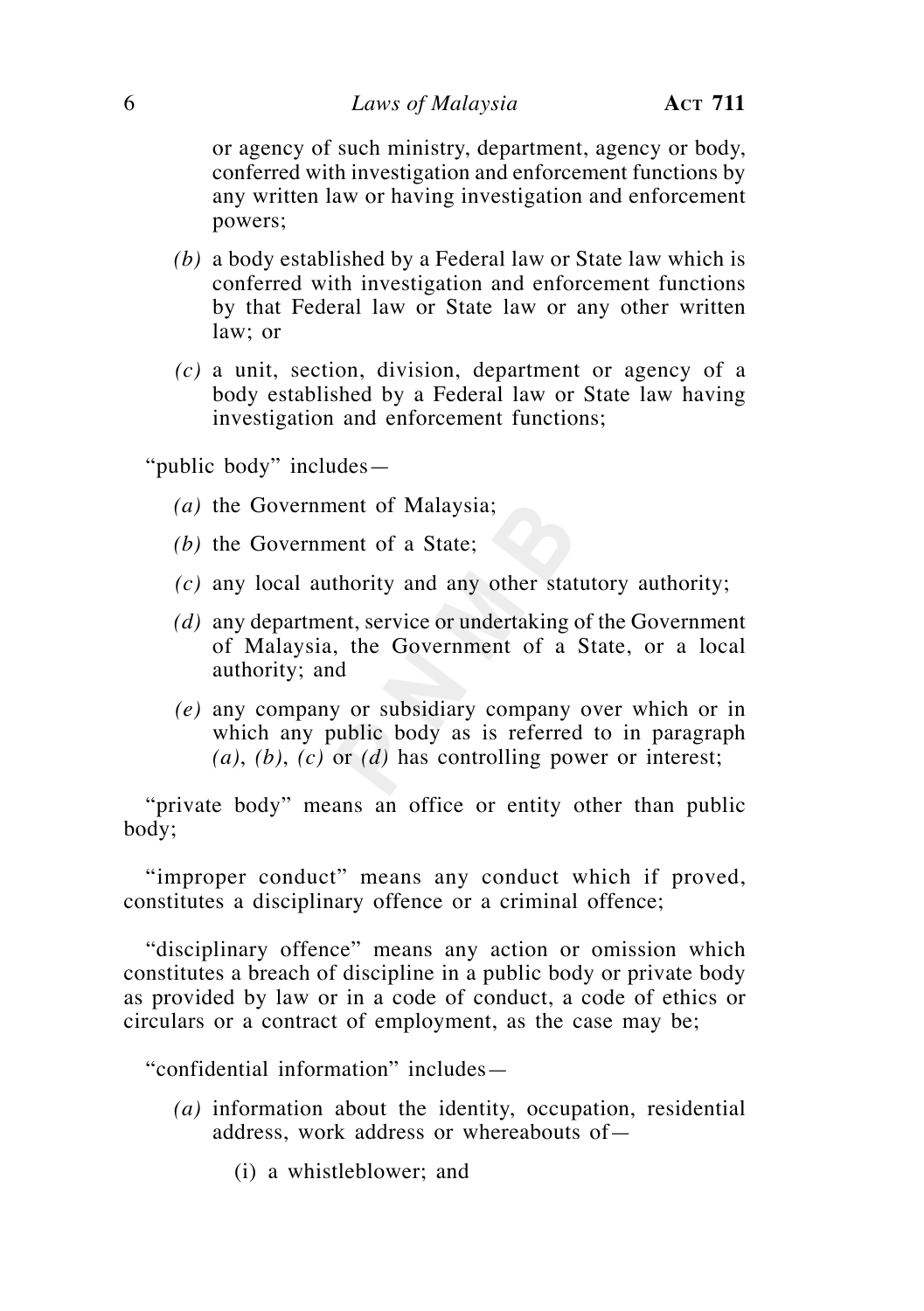or agency of such ministry, department, agency or body, conferred with investigation and enforcement functions by any written law or having investigation and enforcement powers;

- *(b)* a body established by a Federal law or State law which is conferred with investigation and enforcement functions by that Federal law or State law or any other written law; or
- *(c)* a unit, section, division, department or agency of a body established by a Federal law or State law having investigation and enforcement functions;

"public body" includes—

- *(a)* the Government of Malaysia;
- *(b)* the Government of a State;
- *(c)* any local authority and any other statutory authority;
- *(d)* any department, service or undertaking of the Government of Malaysia, the Government of a State, or a local authority; and
- *(e)* any company or subsidiary company over which or in which any public body as is referred to in paragraph *(a)*, *(b)*, *(c)* or *(d)* has controlling power or interest;

 "private body" means an office or entity other than public body;

 "improper conduct" means any conduct which if proved, constitutes a disciplinary offence or a criminal offence;

 "disciplinary offence" means any action or omission which constitutes a breach of discipline in a public body or private body as provided by law or in a code of conduct, a code of ethics or circulars or a contract of employment, as the case may be;

"confidential information" includes—

- *(a)* information about the identity, occupation, residential address, work address or whereabouts of—
	- (i) a whistleblower; and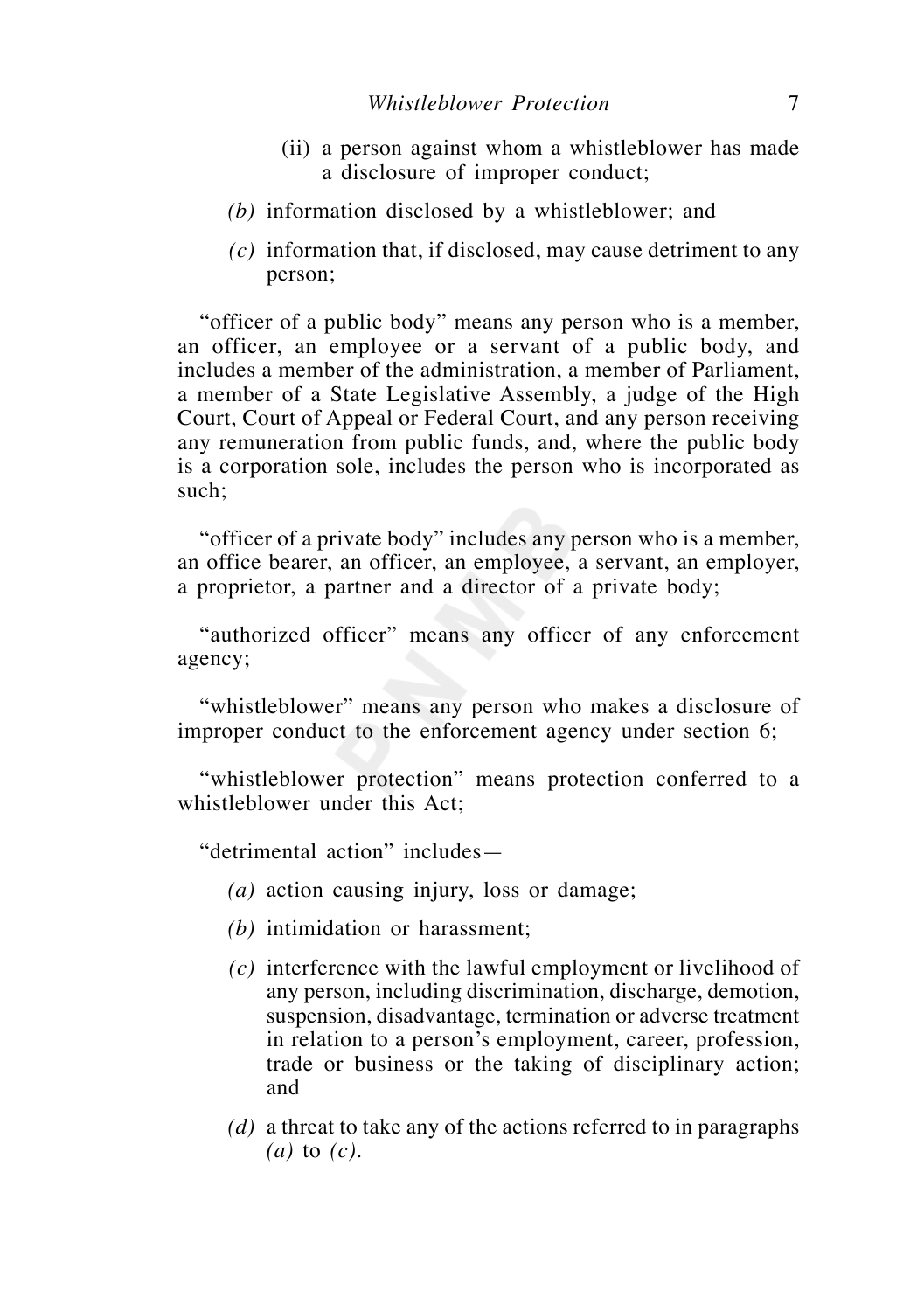- (ii) a person against whom a whistleblower has made a disclosure of improper conduct;
- *(b)* information disclosed by a whistleblower; and
- *(c)* information that, if disclosed, may cause detriment to any person;

 "officer of a public body" means any person who is a member, an officer, an employee or a servant of a public body, and includes a member of the administration, a member of Parliament, a member of a State Legislative Assembly, a judge of the High Court, Court of Appeal or Federal Court, and any person receiving any remuneration from public funds, and, where the public body is a corporation sole, includes the person who is incorporated as such;

 "officer of a private body" includes any person who is a member, an office bearer, an officer, an employee, a servant, an employer, a proprietor, a partner and a director of a private body;

 "authorized officer" means any officer of any enforcement agency;

 "whistleblower" means any person who makes a disclosure of improper conduct to the enforcement agency under section 6;

 "whistleblower protection" means protection conferred to a whistleblower under this Act;

"detrimental action" includes—

- *(a)* action causing injury, loss or damage;
- *(b)* intimidation or harassment;
- *(c)* interference with the lawful employment or livelihood of any person, including discrimination, discharge, demotion, suspension, disadvantage, termination or adverse treatment in relation to a person's employment, career, profession, trade or business or the taking of disciplinary action; and
- *(d)* a threat to take any of the actions referred to in paragraphs *(a)* to *(c)*.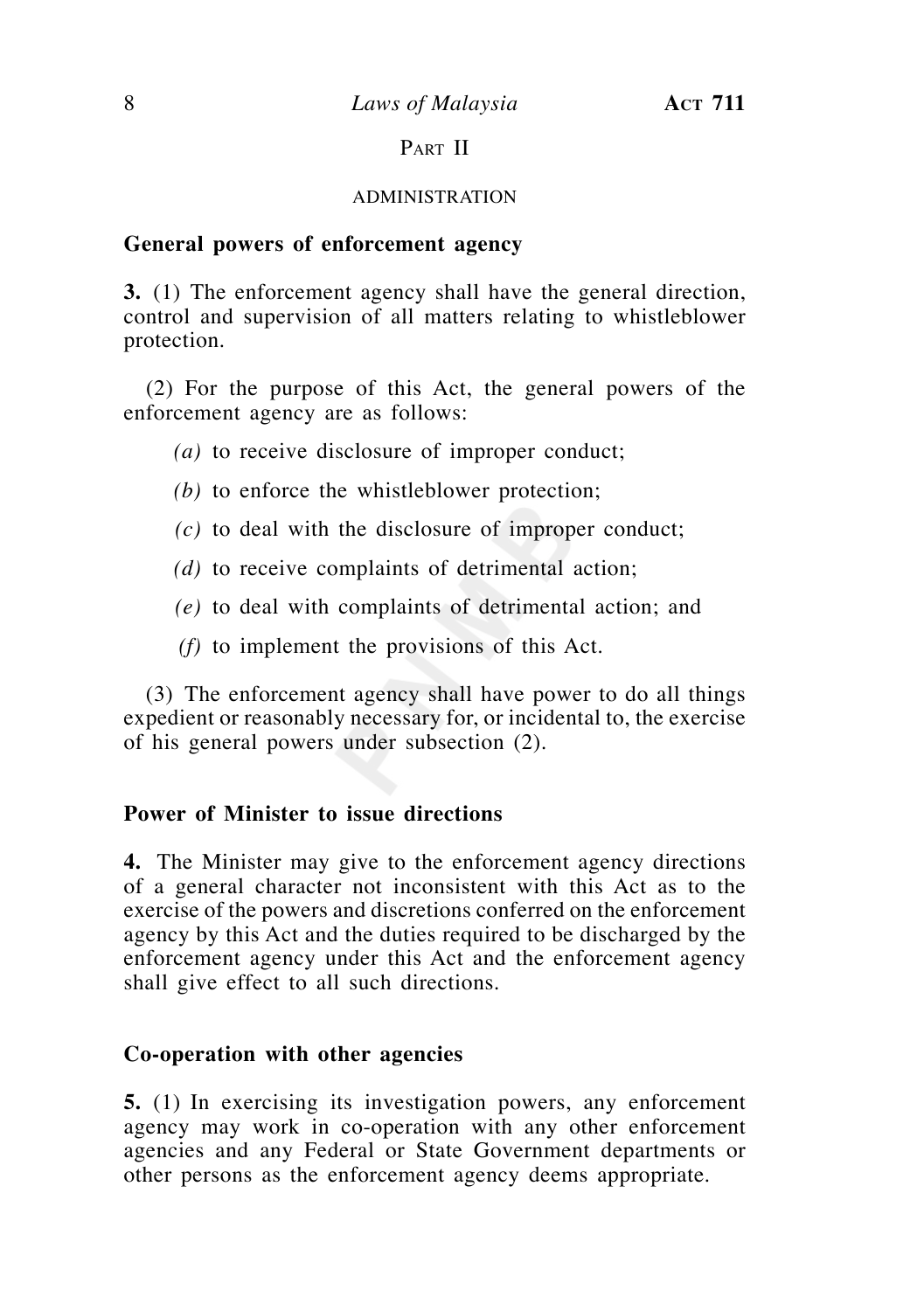# PART II

# ADMINISTRATION

# **General powers of enforcement agency**

**3.** (1) The enforcement agency shall have the general direction, control and supervision of all matters relating to whistleblower protection.

 (2) For the purpose of this Act, the general powers of the enforcement agency are as follows:

- *(a)* to receive disclosure of improper conduct;
- *(b)* to enforce the whistleblower protection;
- *(c)* to deal with the disclosure of improper conduct;
- *(d)* to receive complaints of detrimental action;
- *(e)* to deal with complaints of detrimental action; and
- *(f)* to implement the provisions of this Act.

 (3) The enforcement agency shall have power to do all things expedient or reasonably necessary for, or incidental to, the exercise of his general powers under subsection (2).

# **Power of Minister to issue directions**

**4.** The Minister may give to the enforcement agency directions of a general character not inconsistent with this Act as to the exercise of the powers and discretions conferred on the enforcement agency by this Act and the duties required to be discharged by the enforcement agency under this Act and the enforcement agency shall give effect to all such directions.

# **Co-operation with other agencies**

**5.** (1) In exercising its investigation powers, any enforcement agency may work in co-operation with any other enforcement agencies and any Federal or State Government departments or other persons as the enforcement agency deems appropriate.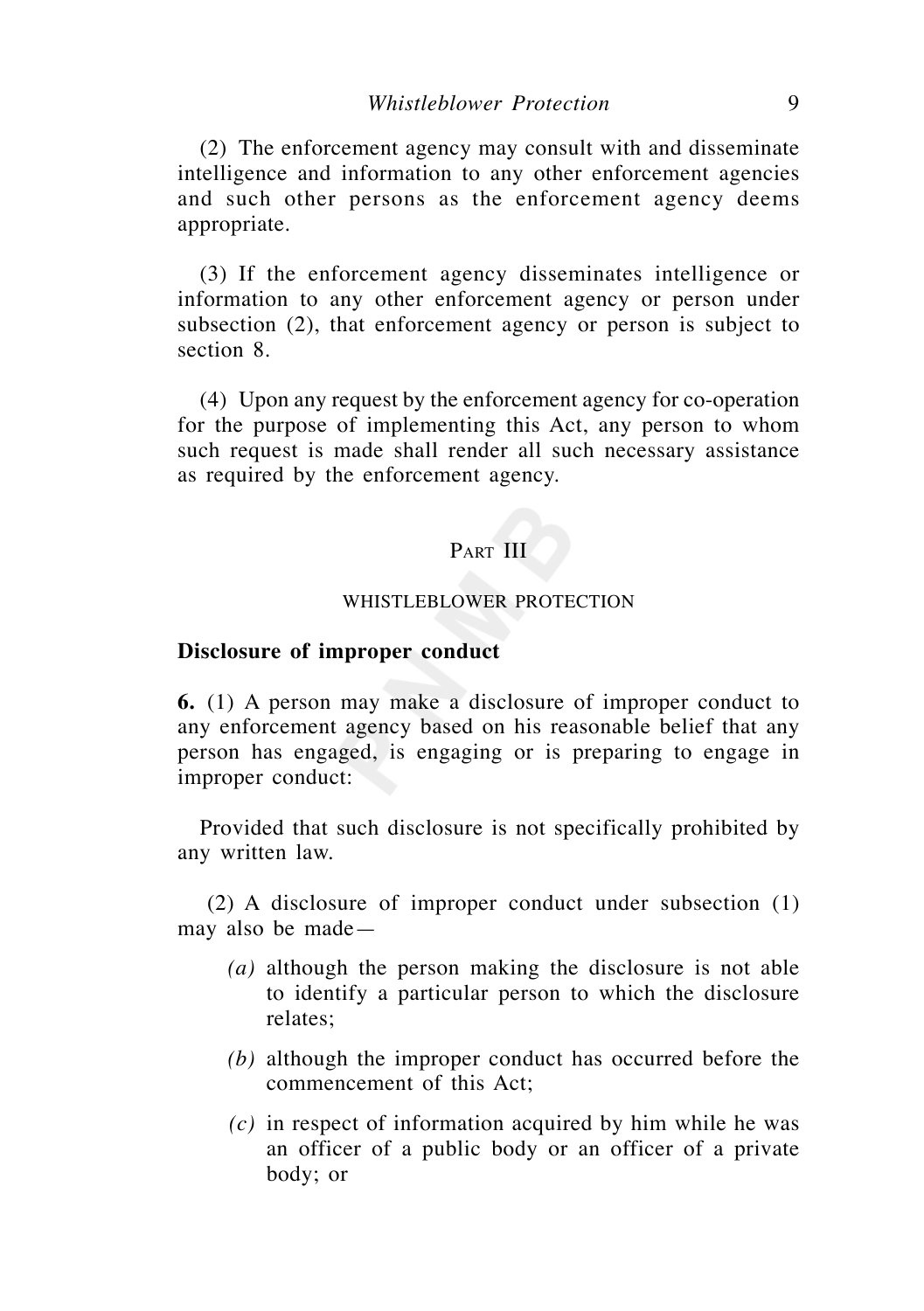(2) The enforcement agency may consult with and disseminate intelligence and information to any other enforcement agencies and such other persons as the enforcement agency deems appropriate.

 (3) If the enforcement agency disseminates intelligence or information to any other enforcement agency or person under subsection (2), that enforcement agency or person is subject to section 8.

 (4) Upon any request by the enforcement agency for co-operation for the purpose of implementing this Act, any person to whom such request is made shall render all such necessary assistance as required by the enforcement agency.

# PART III

## WHISTLEBLOWER PROTECTION

# **Disclosure of improper conduct**

**6.** (1) A person may make a disclosure of improper conduct to any enforcement agency based on his reasonable belief that any person has engaged, is engaging or is preparing to engage in improper conduct:

 Provided that such disclosure is not specifically prohibited by any written law.

 (2) A disclosure of improper conduct under subsection (1) may also be made—

- *(a)* although the person making the disclosure is not able to identify a particular person to which the disclosure relates;
- *(b)* although the improper conduct has occurred before the commencement of this Act;
- *(c)* in respect of information acquired by him while he was an officer of a public body or an officer of a private body; or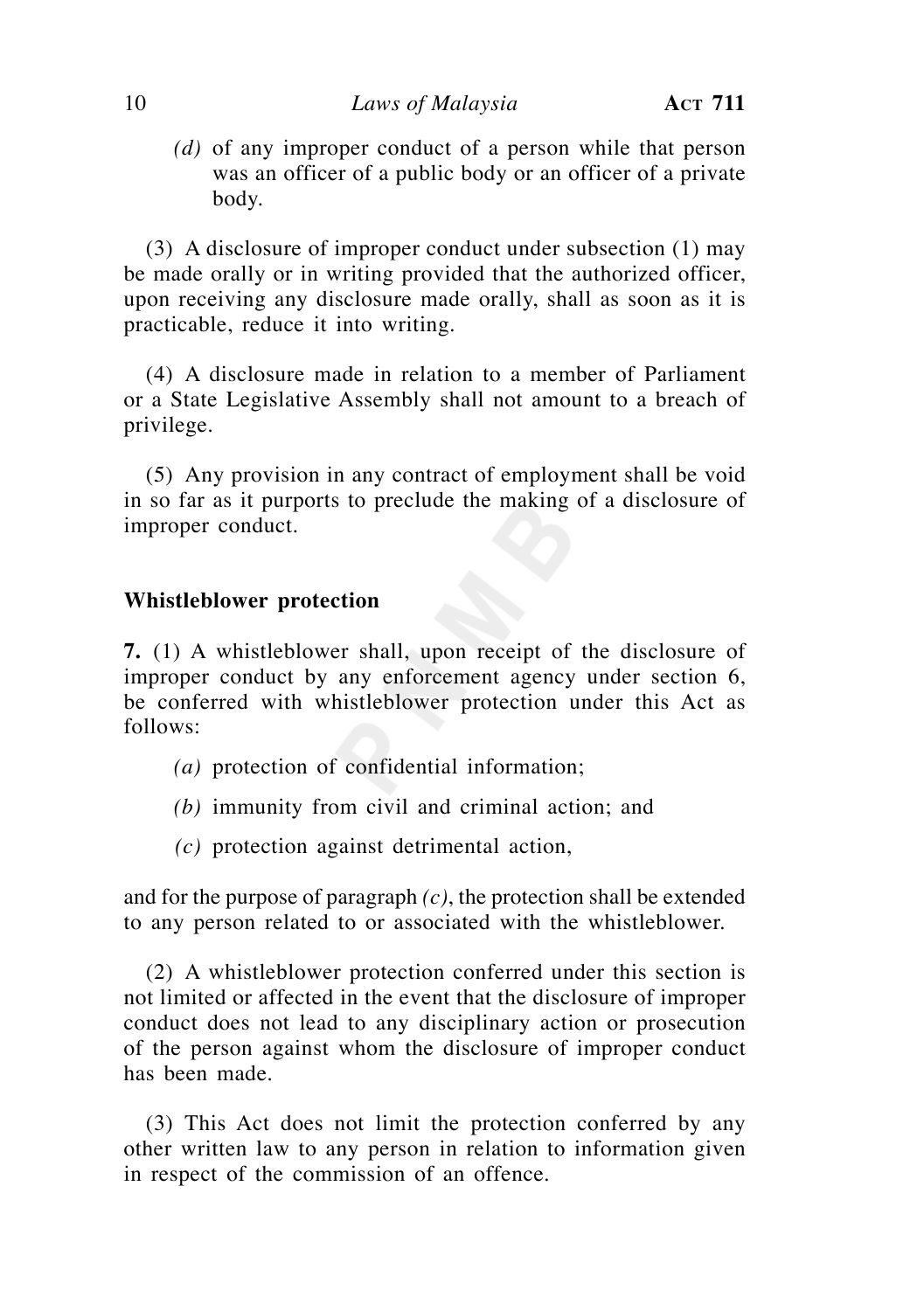*(d)* of any improper conduct of a person while that person was an officer of a public body or an officer of a private body.

 (3) A disclosure of improper conduct under subsection (1) may be made orally or in writing provided that the authorized officer, upon receiving any disclosure made orally, shall as soon as it is practicable, reduce it into writing.

 (4) A disclosure made in relation to a member of Parliament or a State Legislative Assembly shall not amount to a breach of privilege.

 (5) Any provision in any contract of employment shall be void in so far as it purports to preclude the making of a disclosure of improper conduct.

# **Whistleblower protection**

**7.** (1) A whistleblower shall, upon receipt of the disclosure of improper conduct by any enforcement agency under section 6, be conferred with whistleblower protection under this Act as follows:

- *(a)* protection of confidential information;
- *(b)* immunity from civil and criminal action; and
- *(c)* protection against detrimental action,

and for the purpose of paragraph *(c)*, the protection shall be extended to any person related to or associated with the whistleblower.

 (2) A whistleblower protection conferred under this section is not limited or affected in the event that the disclosure of improper conduct does not lead to any disciplinary action or prosecution of the person against whom the disclosure of improper conduct has been made.

 (3) This Act does not limit the protection conferred by any other written law to any person in relation to information given in respect of the commission of an offence.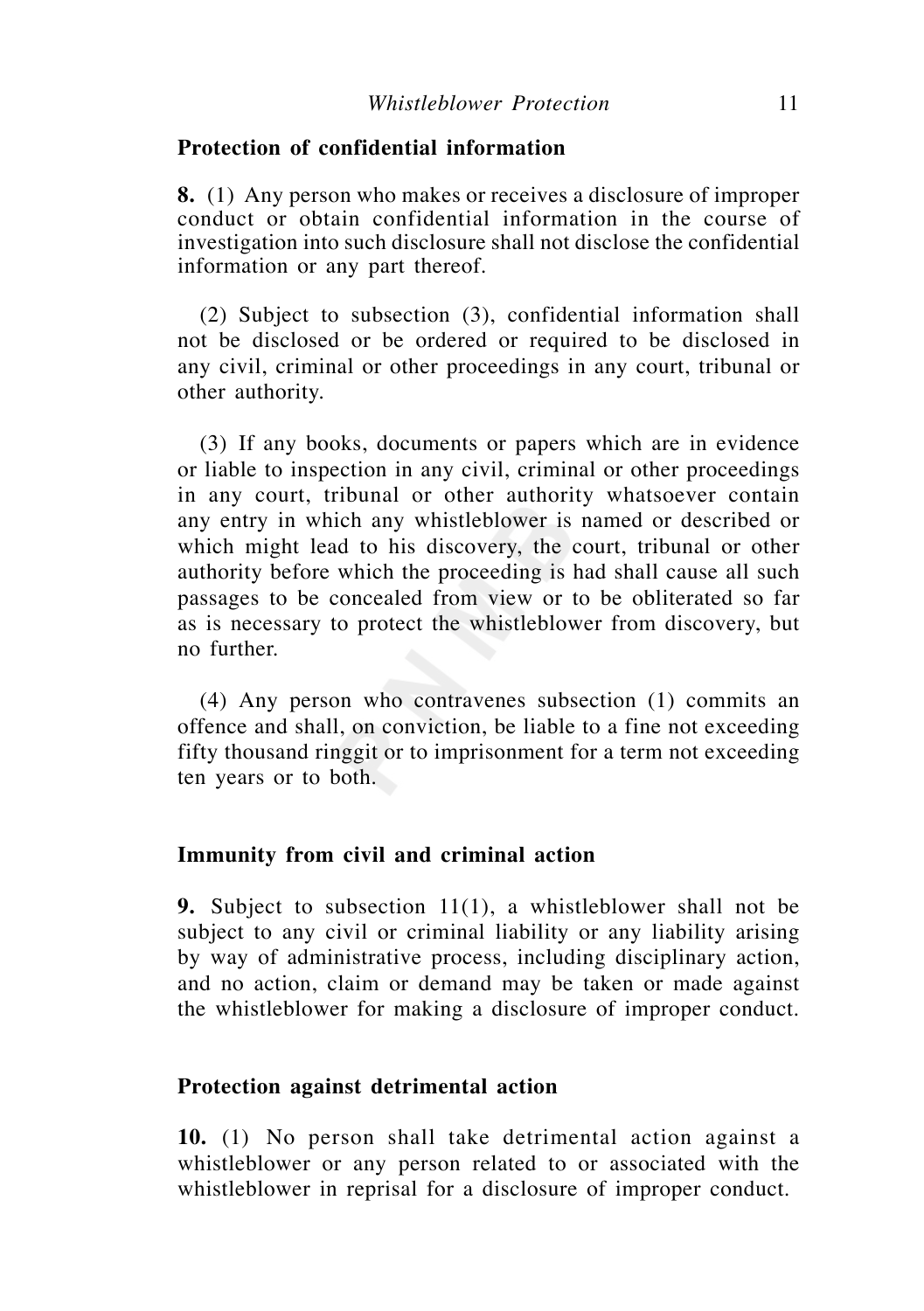# **Protection of confidential information**

**8.** (1) Any person who makes or receives a disclosure of improper conduct or obtain confidential information in the course of investigation into such disclosure shall not disclose the confidential information or any part thereof.

 (2) Subject to subsection (3), confidential information shall not be disclosed or be ordered or required to be disclosed in any civil, criminal or other proceedings in any court, tribunal or other authority.

 (3) If any books, documents or papers which are in evidence or liable to inspection in any civil, criminal or other proceedings in any court, tribunal or other authority whatsoever contain any entry in which any whistleblower is named or described or which might lead to his discovery, the court, tribunal or other authority before which the proceeding is had shall cause all such passages to be concealed from view or to be obliterated so far as is necessary to protect the whistleblower from discovery, but no further.

 (4) Any person who contravenes subsection (1) commits an offence and shall, on conviction, be liable to a fine not exceeding fifty thousand ringgit or to imprisonment for a term not exceeding ten years or to both.

#### **Immunity from civil and criminal action**

**9.** Subject to subsection 11(1), a whistleblower shall not be subject to any civil or criminal liability or any liability arising by way of administrative process, including disciplinary action, and no action, claim or demand may be taken or made against the whistleblower for making a disclosure of improper conduct.

# **Protection against detrimental action**

**10.** (1) No person shall take detrimental action against a whistleblower or any person related to or associated with the whistleblower in reprisal for a disclosure of improper conduct.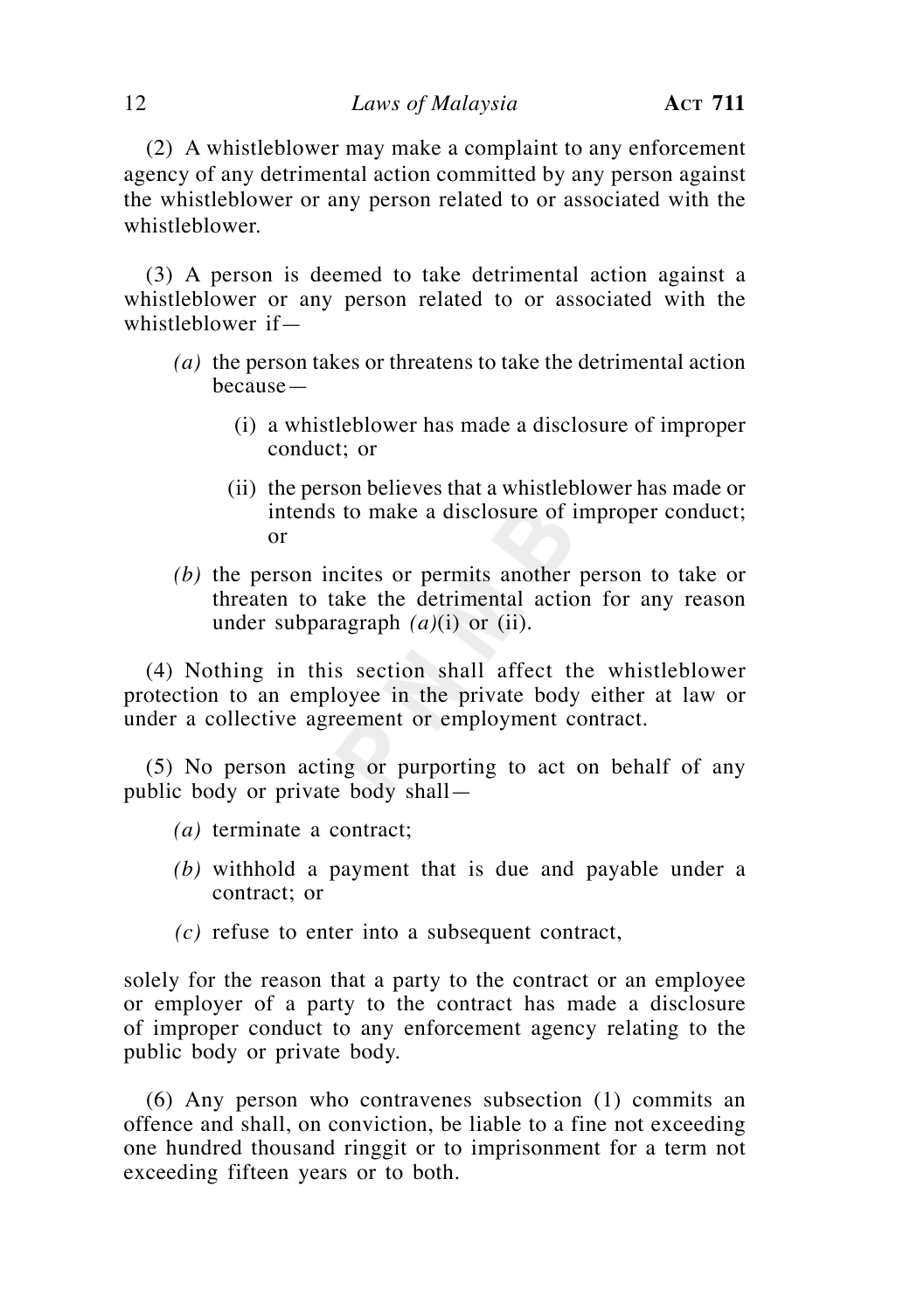(2) A whistleblower may make a complaint to any enforcement agency of any detrimental action committed by any person against the whistleblower or any person related to or associated with the whistleblower.

 (3) A person is deemed to take detrimental action against a whistleblower or any person related to or associated with the whistleblower if—

- *(a)* the person takes or threatens to take the detrimental action because—
	- (i) a whistleblower has made a disclosure of improper conduct; or
	- (ii) the person believes that a whistleblower has made or intends to make a disclosure of improper conduct; or
- *(b)* the person incites or permits another person to take or threaten to take the detrimental action for any reason under subparagraph *(a)*(i) or (ii).

 (4) Nothing in this section shall affect the whistleblower protection to an employee in the private body either at law or under a collective agreement or employment contract.

 (5) No person acting or purporting to act on behalf of any public body or private body shall—

- *(a)* terminate a contract;
- *(b)* withhold a payment that is due and payable under a contract; or
- *(c)* refuse to enter into a subsequent contract,

solely for the reason that a party to the contract or an employee or employer of a party to the contract has made a disclosure of improper conduct to any enforcement agency relating to the public body or private body.

 (6) Any person who contravenes subsection (1) commits an offence and shall, on conviction, be liable to a fine not exceeding one hundred thousand ringgit or to imprisonment for a term not exceeding fifteen years or to both.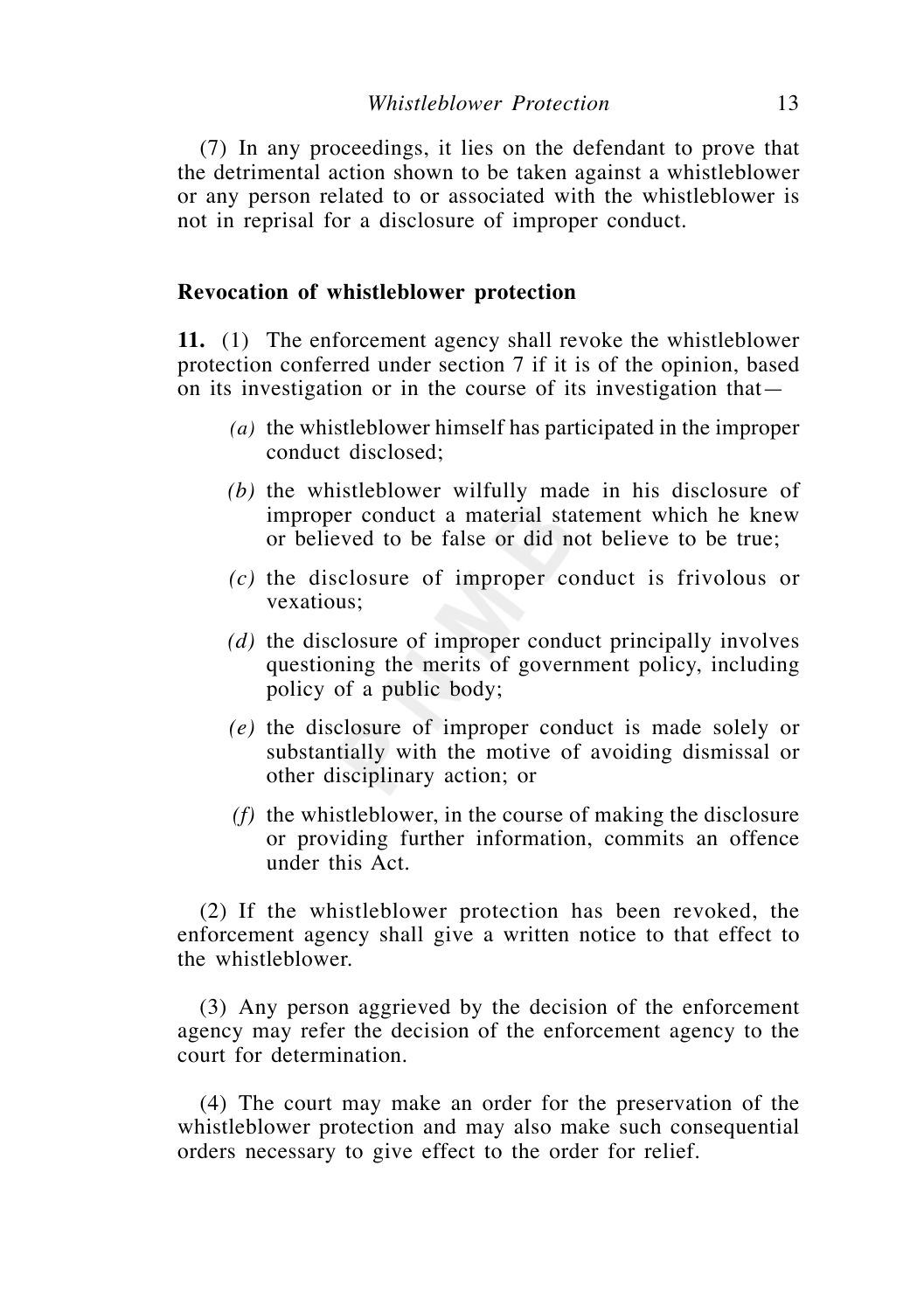(7) In any proceedings, it lies on the defendant to prove that the detrimental action shown to be taken against a whistleblower or any person related to or associated with the whistleblower is not in reprisal for a disclosure of improper conduct.

## **Revocation of whistleblower protection**

**11.** (1) The enforcement agency shall revoke the whistleblower protection conferred under section 7 if it is of the opinion, based on its investigation or in the course of its investigation that—

- *(a)* the whistleblower himself has participated in the improper conduct disclosed;
- *(b)* the whistleblower wilfully made in his disclosure of improper conduct a material statement which he knew or believed to be false or did not believe to be true;
- *(c)* the disclosure of improper conduct is frivolous or vexatious;
- *(d)* the disclosure of improper conduct principally involves questioning the merits of government policy, including policy of a public body;
- *(e)* the disclosure of improper conduct is made solely or substantially with the motive of avoiding dismissal or other disciplinary action; or
- *(f)* the whistleblower, in the course of making the disclosure or providing further information, commits an offence under this Act.

 (2) If the whistleblower protection has been revoked, the enforcement agency shall give a written notice to that effect to the whistleblower.

 (3) Any person aggrieved by the decision of the enforcement agency may refer the decision of the enforcement agency to the court for determination.

 (4) The court may make an order for the preservation of the whistleblower protection and may also make such consequential orders necessary to give effect to the order for relief.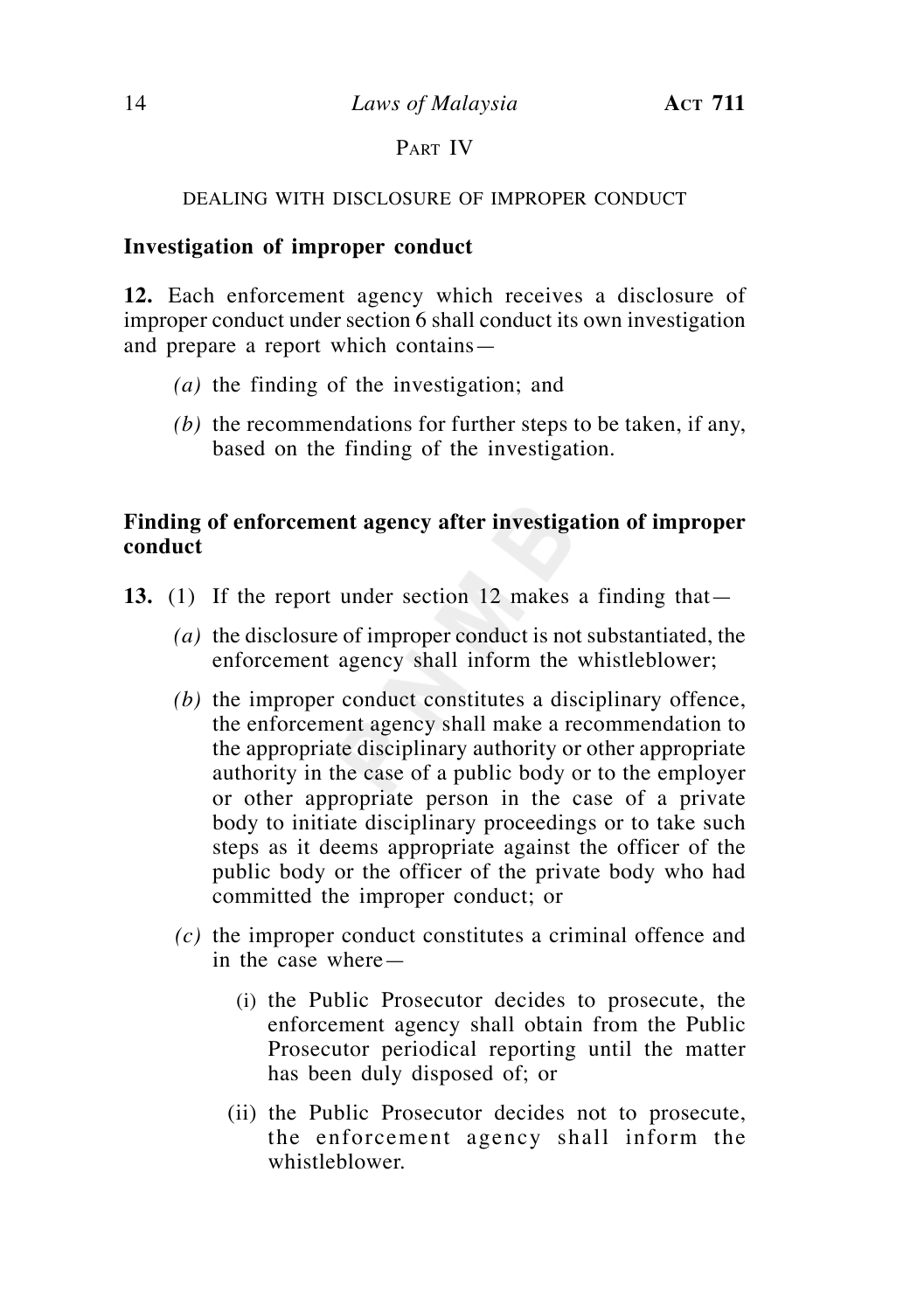# PART IV

# DEALING WITH DISCLOSURE OF IMPROPER CONDUCT

# **Investigation of improper conduct**

**12.** Each enforcement agency which receives a disclosure of improper conduct under section 6 shall conduct its own investigation and prepare a report which contains—

- *(a)* the finding of the investigation; and
- *(b)* the recommendations for further steps to be taken, if any, based on the finding of the investigation.

# **Finding of enforcement agency after investigation of improper conduct**

- **13.** (1) If the report under section 12 makes a finding that—
	- *(a)* the disclosure of improper conduct is not substantiated, the enforcement agency shall inform the whistleblower;
	- *(b)* the improper conduct constitutes a disciplinary offence, the enforcement agency shall make a recommendation to the appropriate disciplinary authority or other appropriate authority in the case of a public body or to the employer or other appropriate person in the case of a private body to initiate disciplinary proceedings or to take such steps as it deems appropriate against the officer of the public body or the officer of the private body who had committed the improper conduct; or
	- *(c)* the improper conduct constitutes a criminal offence and in the case where—
		- (i) the Public Prosecutor decides to prosecute, the enforcement agency shall obtain from the Public Prosecutor periodical reporting until the matter has been duly disposed of; or
		- (ii) the Public Prosecutor decides not to prosecute, the enforcement agency shall inform the whistleblower.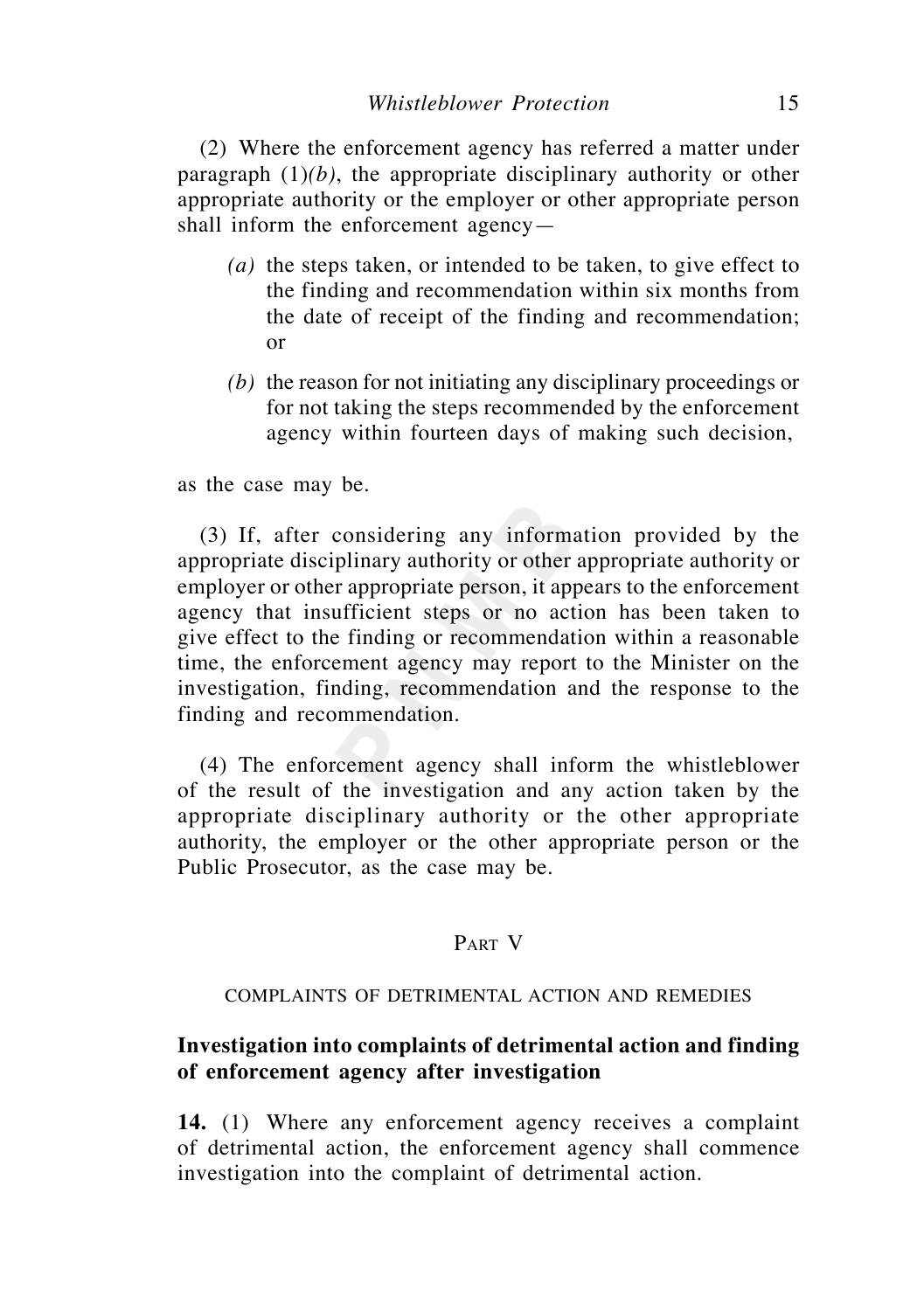(2) Where the enforcement agency has referred a matter under paragraph  $(1)(b)$ , the appropriate disciplinary authority or other appropriate authority or the employer or other appropriate person shall inform the enforcement agency—

- *(a)* the steps taken, or intended to be taken, to give effect to the finding and recommendation within six months from the date of receipt of the finding and recommendation; or
- *(b)* the reason for not initiating any disciplinary proceedings or for not taking the steps recommended by the enforcement agency within fourteen days of making such decision,

as the case may be.

 (3) If, after considering any information provided by the appropriate disciplinary authority or other appropriate authority or employer or other appropriate person, it appears to the enforcement agency that insufficient steps or no action has been taken to give effect to the finding or recommendation within a reasonable time, the enforcement agency may report to the Minister on the investigation, finding, recommendation and the response to the finding and recommendation.

 (4) The enforcement agency shall inform the whistleblower of the result of the investigation and any action taken by the appropriate disciplinary authority or the other appropriate authority, the employer or the other appropriate person or the Public Prosecutor, as the case may be.

# PART V

## COMPLAINTS OF DETRIMENTAL ACTION AND REMEDIES

# **Investigation into complaints of detrimental action and finding of enforcement agency after investigation**

**14.** (1) Where any enforcement agency receives a complaint of detrimental action, the enforcement agency shall commence investigation into the complaint of detrimental action.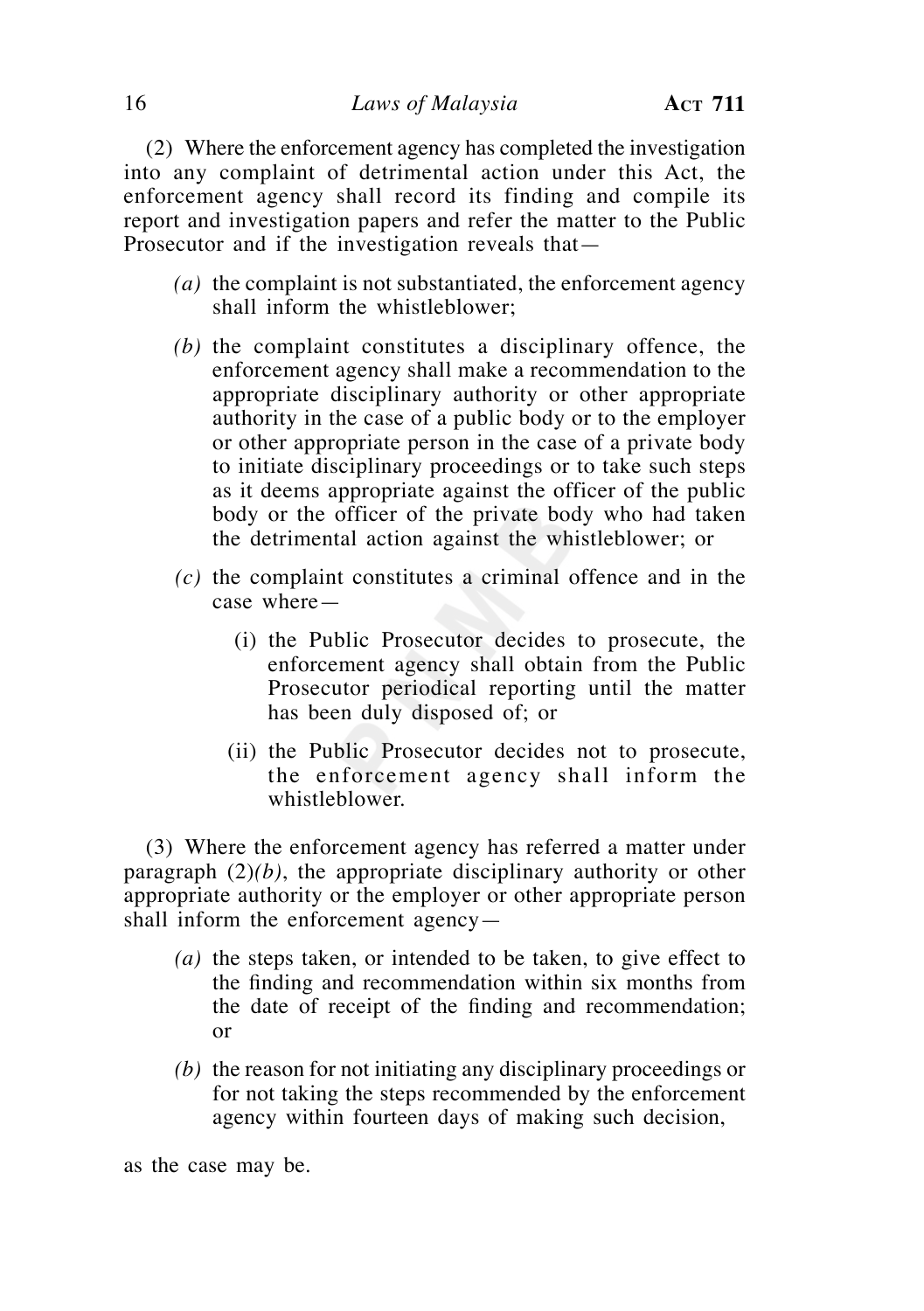(2) Where the enforcement agency has completed the investigation into any complaint of detrimental action under this Act, the enforcement agency shall record its finding and compile its report and investigation papers and refer the matter to the Public Prosecutor and if the investigation reveals that—

- *(a)* the complaint is not substantiated, the enforcement agency shall inform the whistleblower;
- *(b)* the complaint constitutes a disciplinary offence, the enforcement agency shall make a recommendation to the appropriate disciplinary authority or other appropriate authority in the case of a public body or to the employer or other appropriate person in the case of a private body to initiate disciplinary proceedings or to take such steps as it deems appropriate against the officer of the public body or the officer of the private body who had taken the detrimental action against the whistleblower; or
- *(c)* the complaint constitutes a criminal offence and in the case where—
	- (i) the Public Prosecutor decides to prosecute, the enforcement agency shall obtain from the Public Prosecutor periodical reporting until the matter has been duly disposed of; or
	- (ii) the Public Prosecutor decides not to prosecute, the enforcement agency shall inform the whistleblower.

 (3) Where the enforcement agency has referred a matter under paragraph (2)*(b)*, the appropriate disciplinary authority or other appropriate authority or the employer or other appropriate person shall inform the enforcement agency—

- *(a)* the steps taken, or intended to be taken, to give effect to the finding and recommendation within six months from the date of receipt of the finding and recommendation; or
- *(b)* the reason for not initiating any disciplinary proceedings or for not taking the steps recommended by the enforcement agency within fourteen days of making such decision,

as the case may be.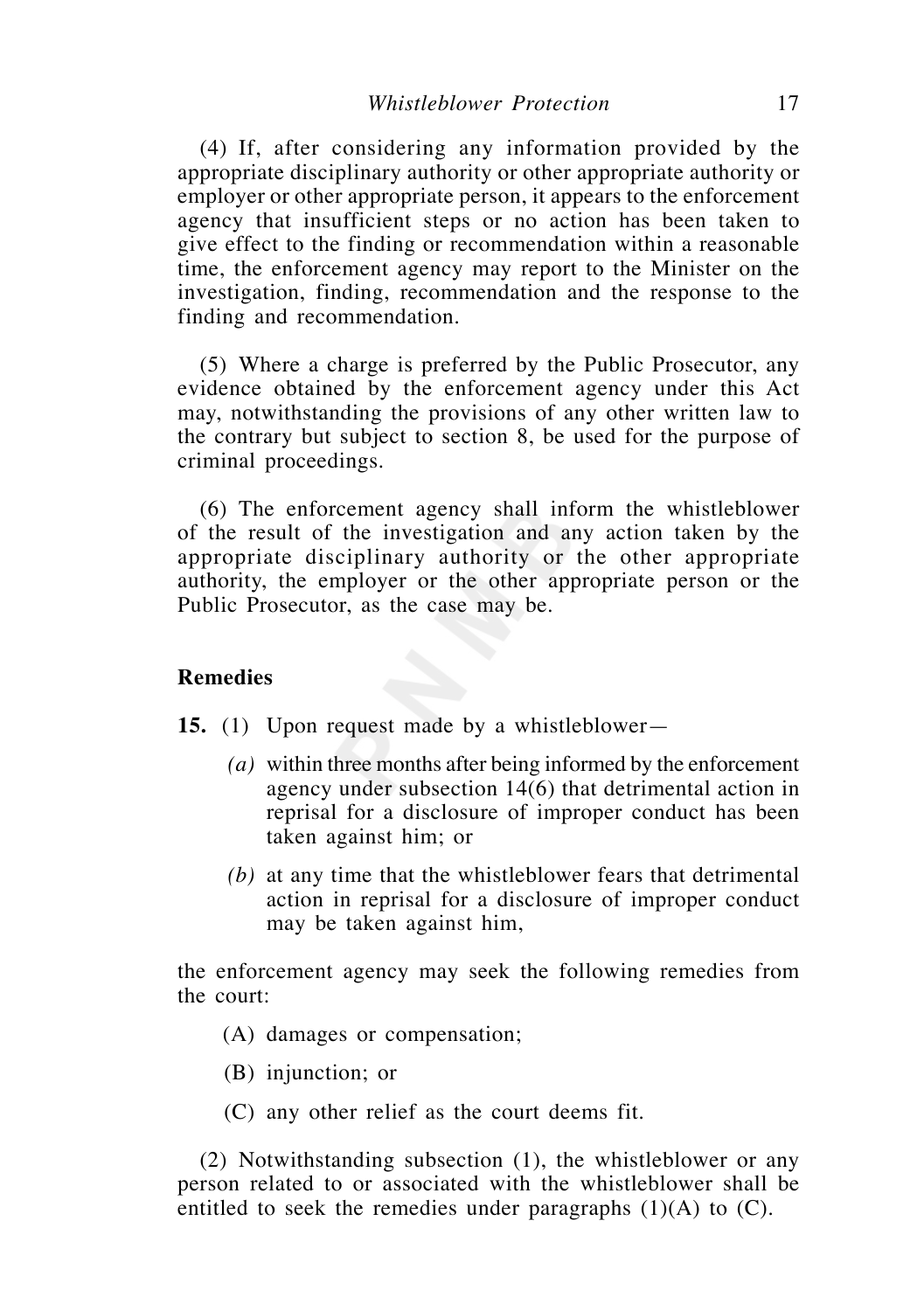(4) If, after considering any information provided by the appropriate disciplinary authority or other appropriate authority or employer or other appropriate person, it appears to the enforcement agency that insufficient steps or no action has been taken to give effect to the finding or recommendation within a reasonable time, the enforcement agency may report to the Minister on the investigation, finding, recommendation and the response to the finding and recommendation.

 (5) Where a charge is preferred by the Public Prosecutor, any evidence obtained by the enforcement agency under this Act may, notwithstanding the provisions of any other written law to the contrary but subject to section 8, be used for the purpose of criminal proceedings.

 (6) The enforcement agency shall inform the whistleblower of the result of the investigation and any action taken by the appropriate disciplinary authority or the other appropriate authority, the employer or the other appropriate person or the Public Prosecutor, as the case may be.

# **Remedies**

**15.** (1) Upon request made by a whistleblower—

- *(a)* within three months after being informed by the enforcement agency under subsection 14(6) that detrimental action in reprisal for a disclosure of improper conduct has been taken against him; or
- *(b)* at any time that the whistleblower fears that detrimental action in reprisal for a disclosure of improper conduct may be taken against him,

the enforcement agency may seek the following remedies from the court:

(A) damages or compensation;

(B) injunction; or

(C) any other relief as the court deems fit.

 (2) Notwithstanding subsection (1), the whistleblower or any person related to or associated with the whistleblower shall be entitled to seek the remedies under paragraphs  $(1)(A)$  to  $(C)$ .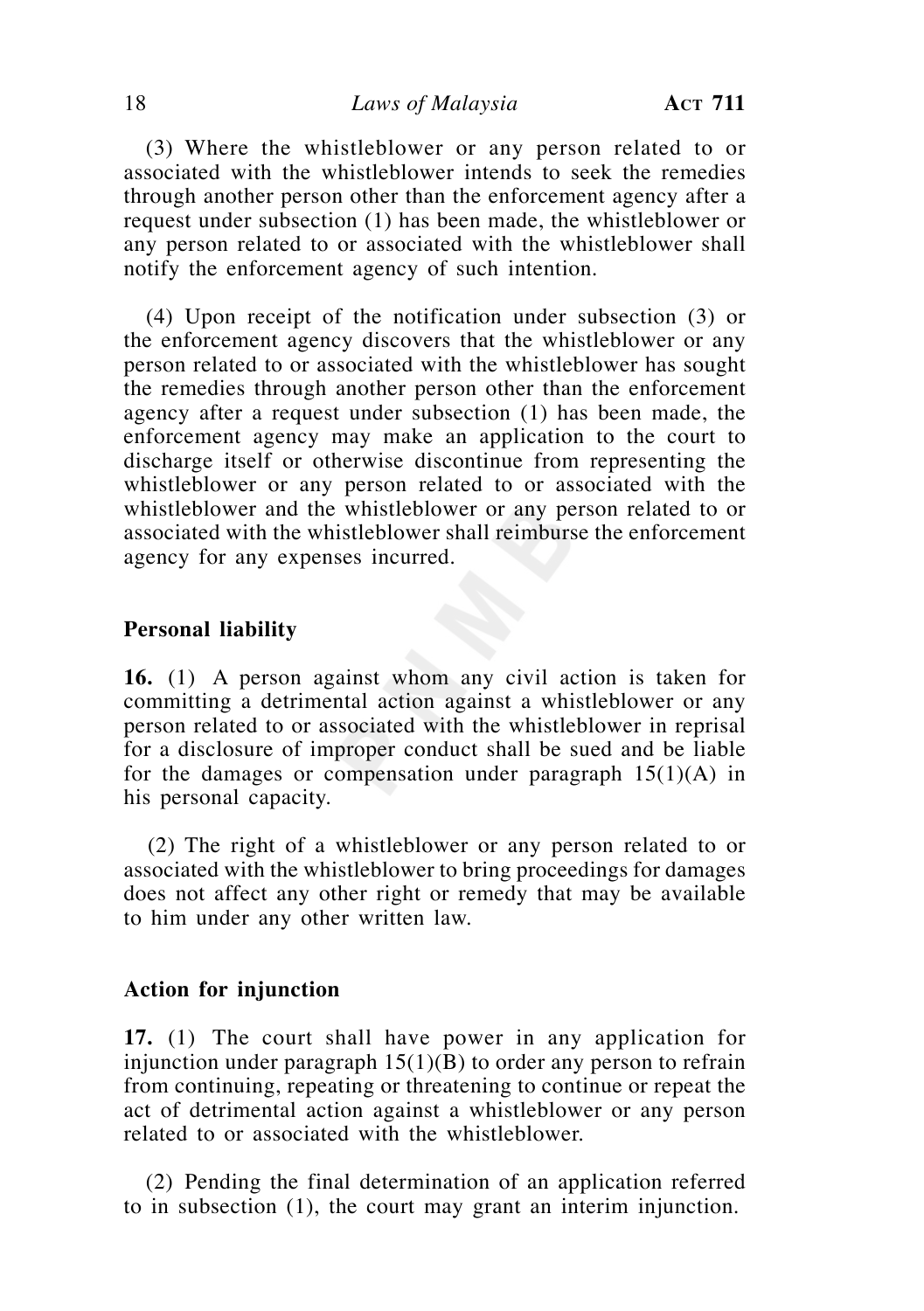(3) Where the whistleblower or any person related to or associated with the whistleblower intends to seek the remedies through another person other than the enforcement agency after a request under subsection (1) has been made, the whistleblower or any person related to or associated with the whistleblower shall notify the enforcement agency of such intention.

 (4) Upon receipt of the notification under subsection (3) or the enforcement agency discovers that the whistleblower or any person related to or associated with the whistleblower has sought the remedies through another person other than the enforcement agency after a request under subsection (1) has been made, the enforcement agency may make an application to the court to discharge itself or otherwise discontinue from representing the whistleblower or any person related to or associated with the whistleblower and the whistleblower or any person related to or associated with the whistleblower shall reimburse the enforcement agency for any expenses incurred.

## **Personal liability**

**16.** (1) A person against whom any civil action is taken for committing a detrimental action against a whistleblower or any person related to or associated with the whistleblower in reprisal for a disclosure of improper conduct shall be sued and be liable for the damages or compensation under paragraph  $15(1)(A)$  in his personal capacity.

 (2) The right of a whistleblower or any person related to or associated with the whistleblower to bring proceedings for damages does not affect any other right or remedy that may be available to him under any other written law.

#### **Action for injunction**

**17.** (1) The court shall have power in any application for injunction under paragraph  $15(1)(B)$  to order any person to refrain from continuing, repeating or threatening to continue or repeat the act of detrimental action against a whistleblower or any person related to or associated with the whistleblower.

 (2) Pending the final determination of an application referred to in subsection (1), the court may grant an interim injunction.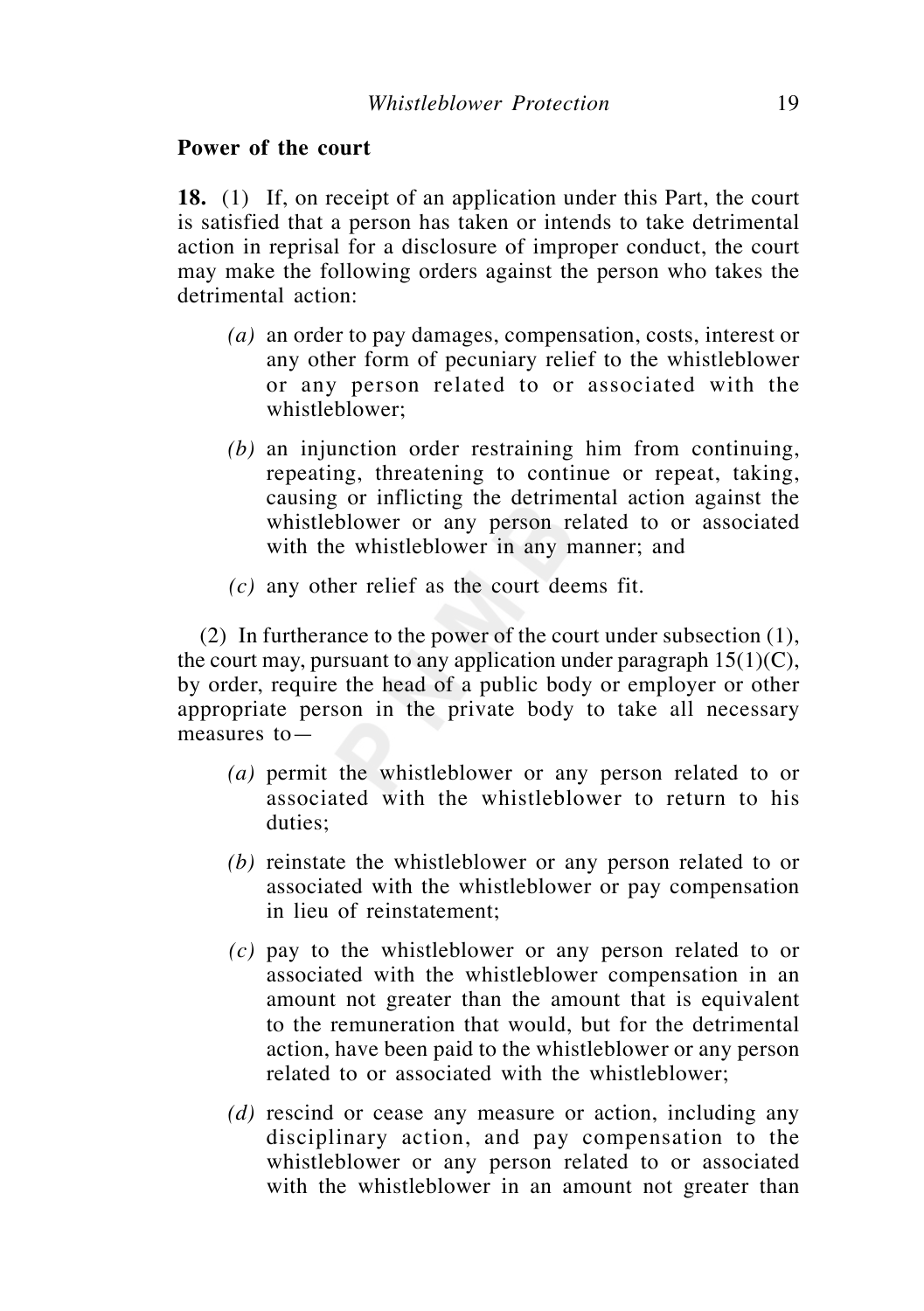# **Power of the court**

**18.** (1) If, on receipt of an application under this Part, the court is satisfied that a person has taken or intends to take detrimental action in reprisal for a disclosure of improper conduct, the court may make the following orders against the person who takes the detrimental action:

- *(a)* an order to pay damages, compensation, costs, interest or any other form of pecuniary relief to the whistleblower or any person related to or associated with the whistleblower;
- *(b)* an injunction order restraining him from continuing, repeating, threatening to continue or repeat, taking, causing or inflicting the detrimental action against the whistleblower or any person related to or associated with the whistleblower in any manner; and
- *(c)* any other relief as the court deems fit.

 (2) In furtherance to the power of the court under subsection (1), the court may, pursuant to any application under paragraph  $15(1)(C)$ , by order, require the head of a public body or employer or other appropriate person in the private body to take all necessary measures to—

- *(a)* permit the whistleblower or any person related to or associated with the whistleblower to return to his duties;
- *(b)* reinstate the whistleblower or any person related to or associated with the whistleblower or pay compensation in lieu of reinstatement;
- *(c)* pay to the whistleblower or any person related to or associated with the whistleblower compensation in an amount not greater than the amount that is equivalent to the remuneration that would, but for the detrimental action, have been paid to the whistleblower or any person related to or associated with the whistleblower;
- *(d)* rescind or cease any measure or action, including any disciplinary action, and pay compensation to the whistleblower or any person related to or associated with the whistleblower in an amount not greater than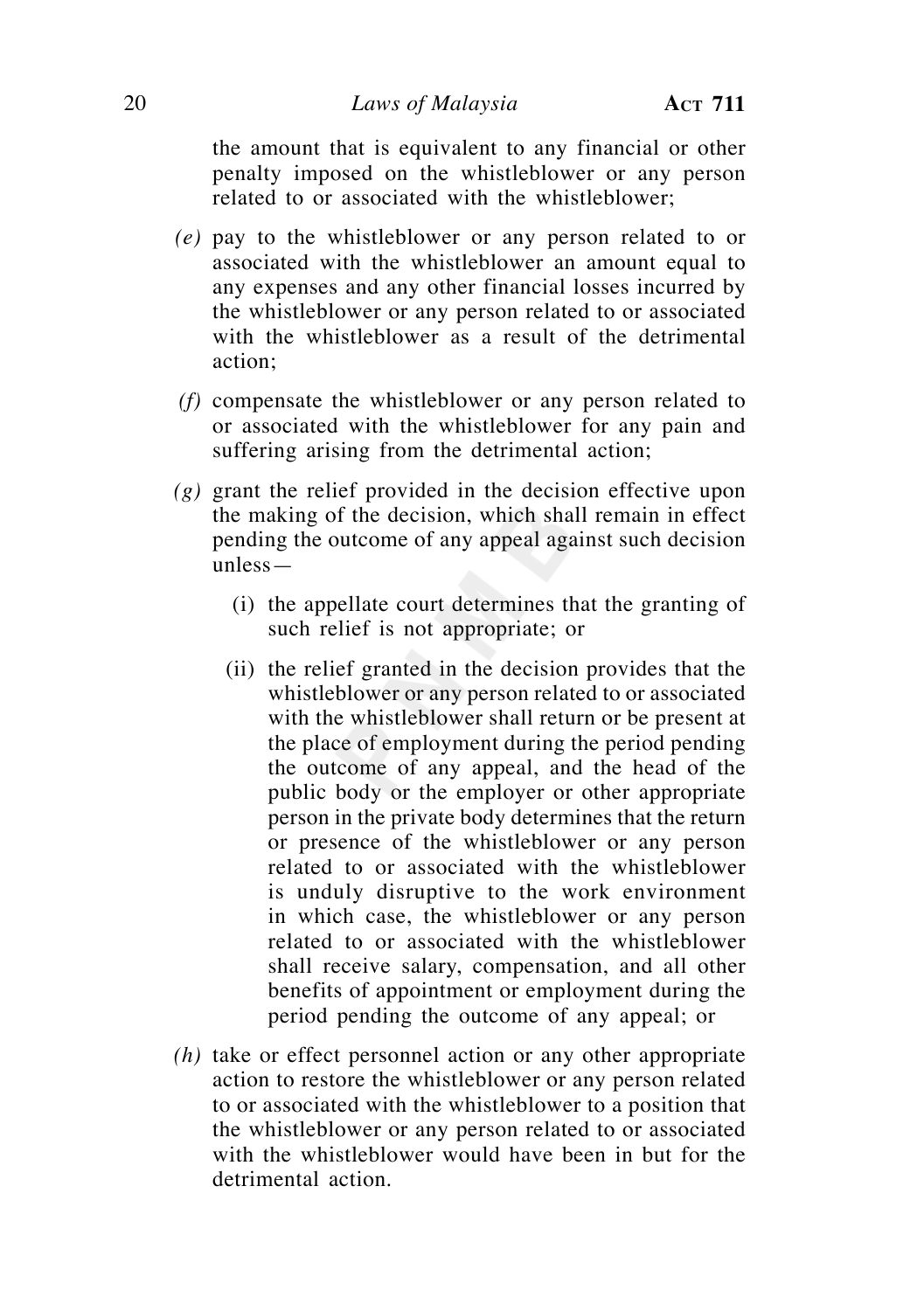the amount that is equivalent to any financial or other penalty imposed on the whistleblower or any person related to or associated with the whistleblower;

- *(e)* pay to the whistleblower or any person related to or associated with the whistleblower an amount equal to any expenses and any other financial losses incurred by the whistleblower or any person related to or associated with the whistleblower as a result of the detrimental action;
- *(f)* compensate the whistleblower or any person related to or associated with the whistleblower for any pain and suffering arising from the detrimental action;
- *(g)* grant the relief provided in the decision effective upon the making of the decision, which shall remain in effect pending the outcome of any appeal against such decision unless—
	- (i) the appellate court determines that the granting of such relief is not appropriate; or
	- (ii) the relief granted in the decision provides that the whistleblower or any person related to or associated with the whistleblower shall return or be present at the place of employment during the period pending the outcome of any appeal, and the head of the public body or the employer or other appropriate person in the private body determines that the return or presence of the whistleblower or any person related to or associated with the whistleblower is unduly disruptive to the work environment in which case, the whistleblower or any person related to or associated with the whistleblower shall receive salary, compensation, and all other benefits of appointment or employment during the period pending the outcome of any appeal; or
- *(h)* take or effect personnel action or any other appropriate action to restore the whistleblower or any person related to or associated with the whistleblower to a position that the whistleblower or any person related to or associated with the whistleblower would have been in but for the detrimental action.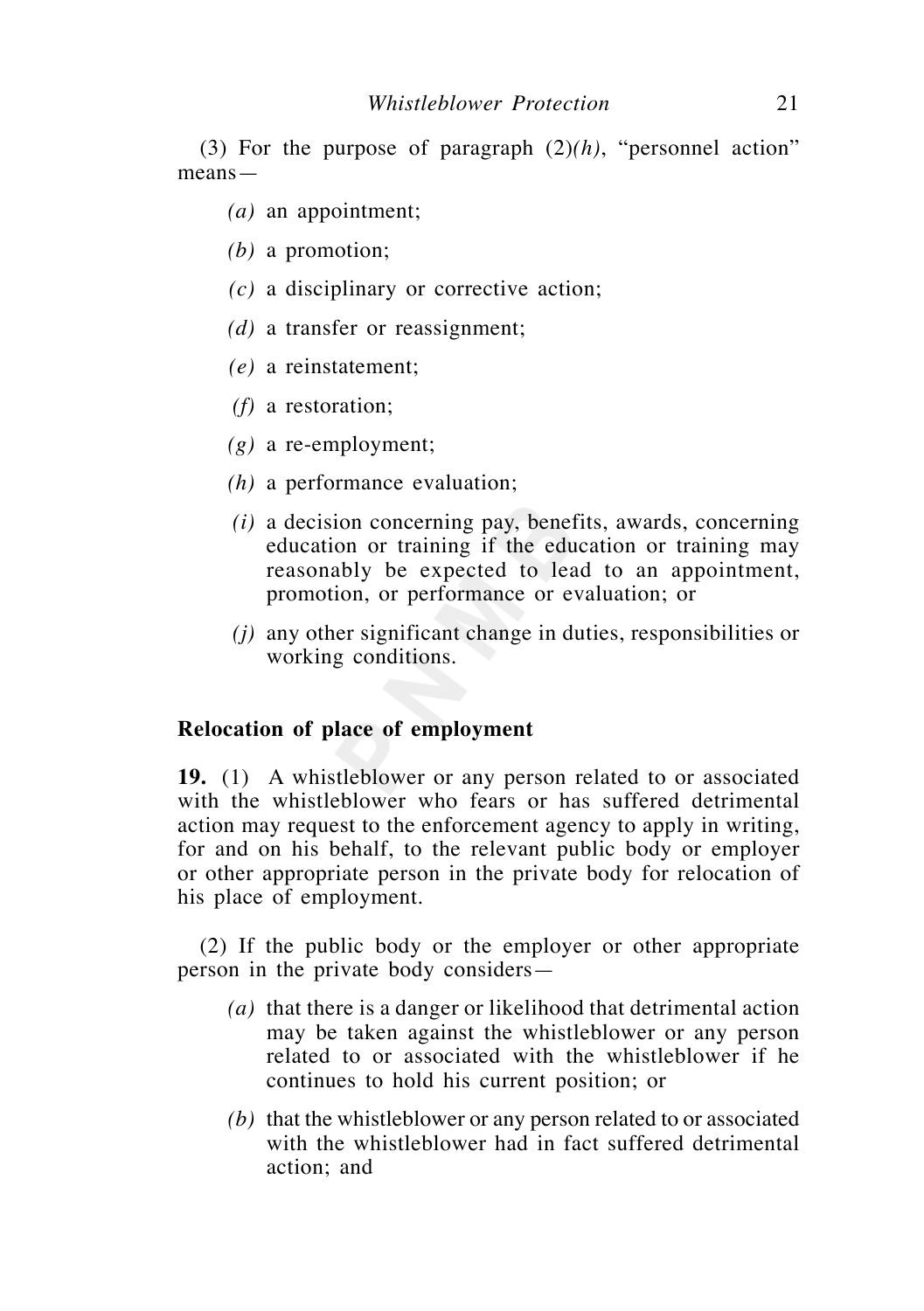(3) For the purpose of paragraph (2)*(h)*, "personnel action" means—

- *(a)* an appointment;
- *(b)* a promotion;
- *(c)* a disciplinary or corrective action;
- *(d)* a transfer or reassignment;
- *(e)* a reinstatement;
- *(f)* a restoration;
- *(g)* a re-employment;
- *(h)* a performance evaluation;
- *(i)* a decision concerning pay, benefits, awards, concerning education or training if the education or training may reasonably be expected to lead to an appointment, promotion, or performance or evaluation; or
- *(j)* any other significant change in duties, responsibilities or working conditions.

## **Relocation of place of employment**

**19.** (1) A whistleblower or any person related to or associated with the whistleblower who fears or has suffered detrimental action may request to the enforcement agency to apply in writing, for and on his behalf, to the relevant public body or employer or other appropriate person in the private body for relocation of his place of employment.

 (2) If the public body or the employer or other appropriate person in the private body considers—

- *(a)* that there is a danger or likelihood that detrimental action may be taken against the whistleblower or any person related to or associated with the whistleblower if he continues to hold his current position; or
- *(b)* that the whistleblower or any person related to or associated with the whistleblower had in fact suffered detrimental action; and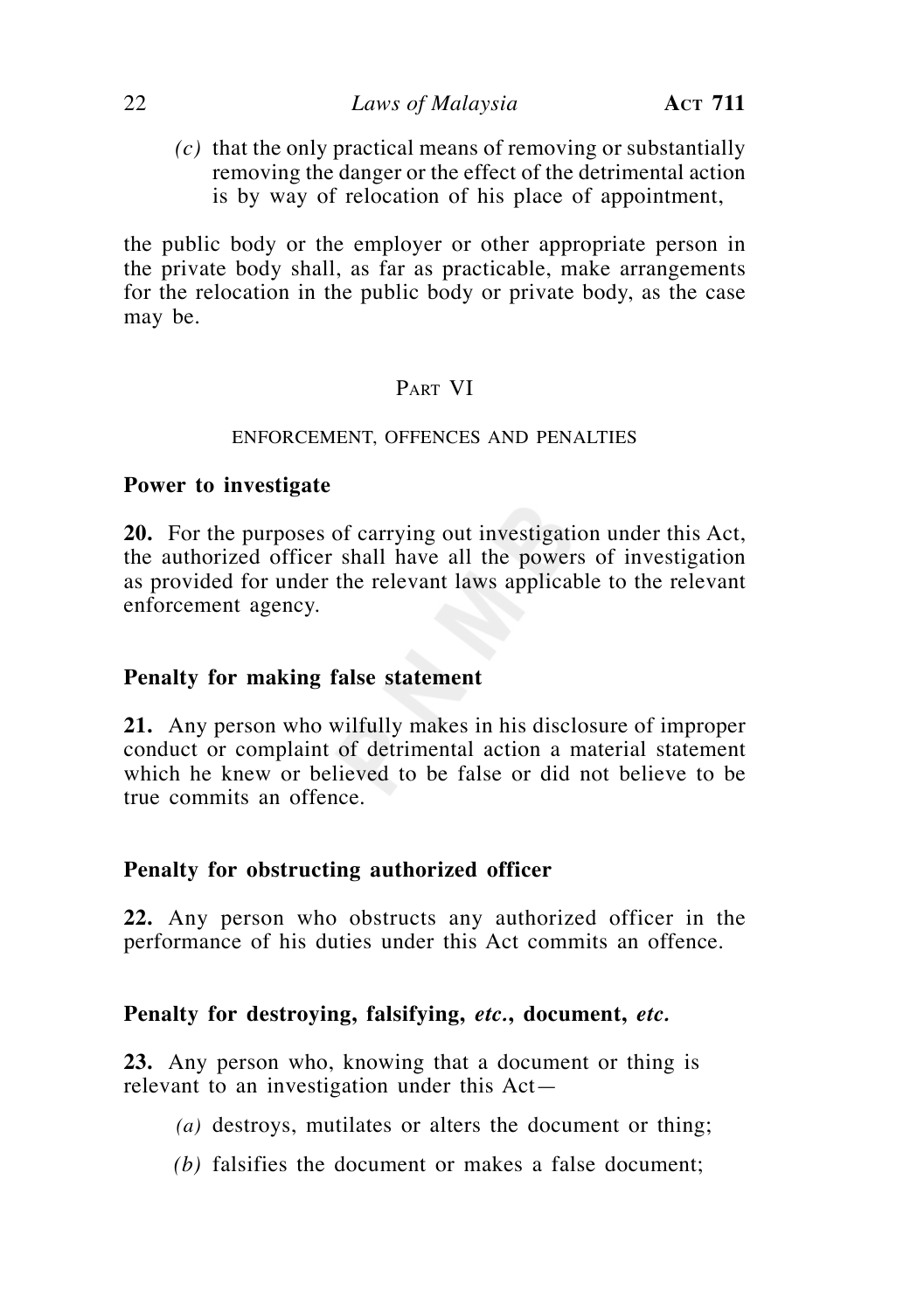*(c)* that the only practical means of removing or substantially removing the danger or the effect of the detrimental action is by way of relocation of his place of appointment,

the public body or the employer or other appropriate person in the private body shall, as far as practicable, make arrangements for the relocation in the public body or private body, as the case may be.

# PART VI

# ENFORCEMENT, OFFENCES AND PENALTIES

# **Power to investigate**

**20.** For the purposes of carrying out investigation under this Act, the authorized officer shall have all the powers of investigation as provided for under the relevant laws applicable to the relevant enforcement agency.

# **Penalty for making false statement**

**21.** Any person who wilfully makes in his disclosure of improper conduct or complaint of detrimental action a material statement which he knew or believed to be false or did not believe to be true commits an offence.

# **Penalty for obstructing authorized officer**

**22.** Any person who obstructs any authorized officer in the performance of his duties under this Act commits an offence.

# **Penalty for destroying, falsifying,** *etc.***, document,** *etc.*

**23.** Any person who, knowing that a document or thing is relevant to an investigation under this Act—

- *(a)* destroys, mutilates or alters the document or thing;
- *(b)* falsifies the document or makes a false document;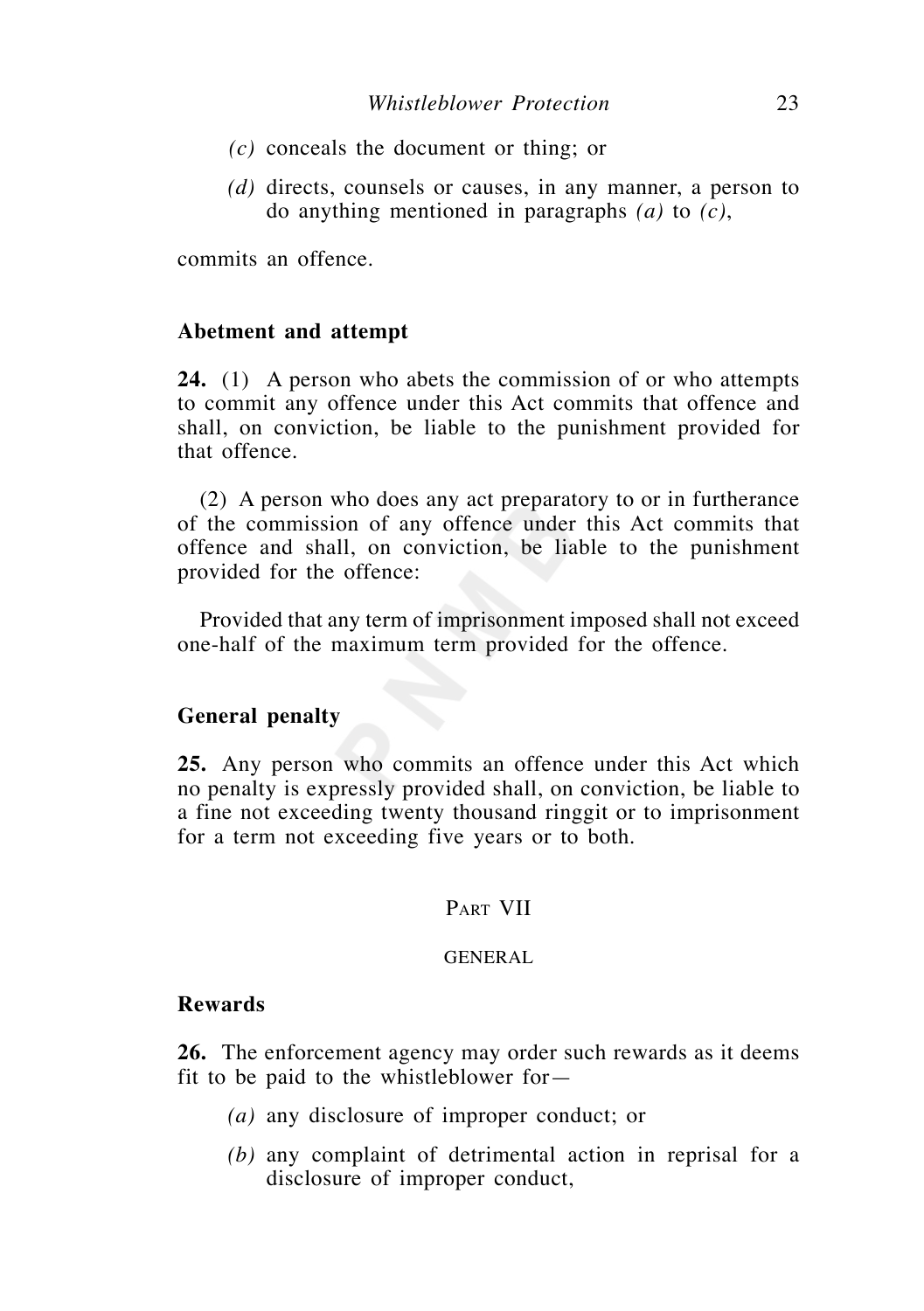- *(c)* conceals the document or thing; or
- *(d)* directs, counsels or causes, in any manner, a person to do anything mentioned in paragraphs *(a)* to *(c)*,

commits an offence.

#### **Abetment and attempt**

**24.** (1) A person who abets the commission of or who attempts to commit any offence under this Act commits that offence and shall, on conviction, be liable to the punishment provided for that offence.

 (2) A person who does any act preparatory to or in furtherance of the commission of any offence under this Act commits that offence and shall, on conviction, be liable to the punishment provided for the offence:

 Provided that any term of imprisonment imposed shall not exceed one-half of the maximum term provided for the offence.

### **General penalty**

**25.** Any person who commits an offence under this Act which no penalty is expressly provided shall, on conviction, be liable to a fine not exceeding twenty thousand ringgit or to imprisonment for a term not exceeding five years or to both.

# PART VII

#### GENERAL

# **Rewards**

**26.** The enforcement agency may order such rewards as it deems fit to be paid to the whistleblower for—

- *(a)* any disclosure of improper conduct; or
- *(b)* any complaint of detrimental action in reprisal for a disclosure of improper conduct,